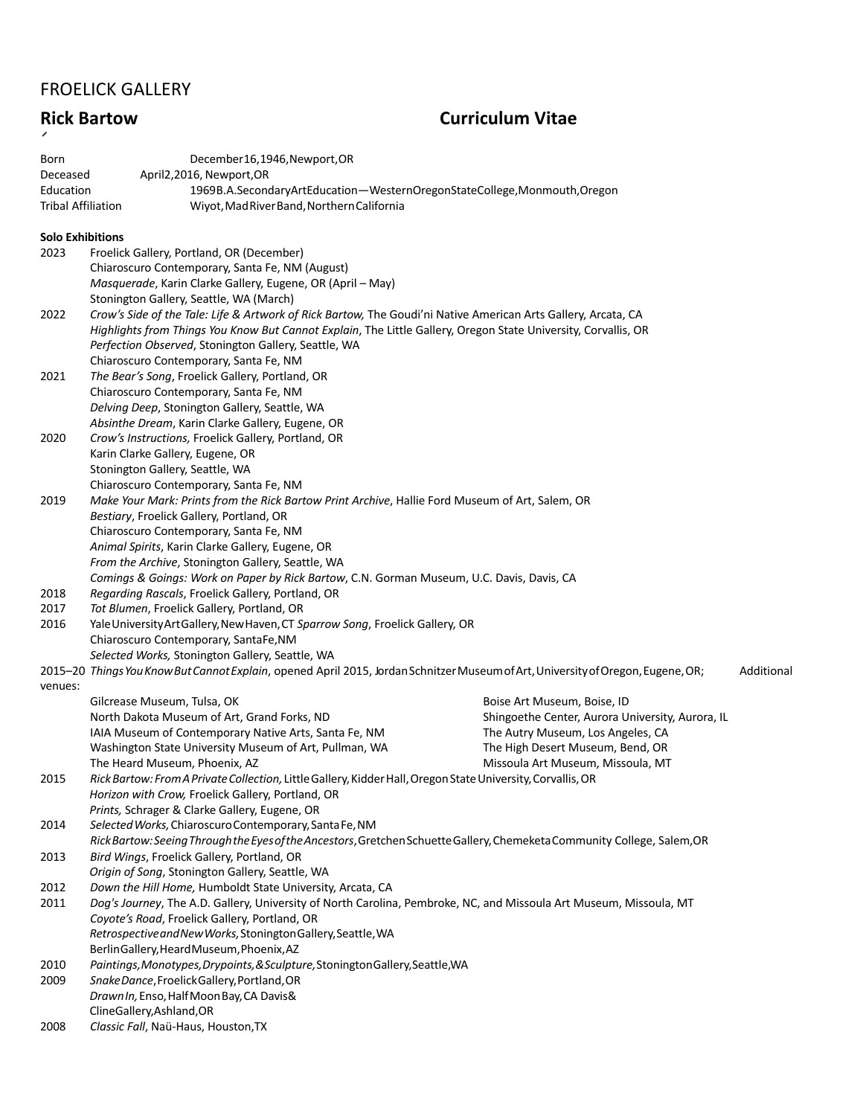## FROELICK GALLERY

# **Rick Bartow Curriculum Vitae**

| Born<br>Deceased<br>Education<br><b>Tribal Affiliation</b> | December16,1946, Newport, OR<br>April2,2016, Newport,OR<br>1969B.A.SecondaryArtEducation-WesternOregonStateCollege,Monmouth,Oregon<br>Wiyot, Mad River Band, Northern California   |                                                  |            |  |
|------------------------------------------------------------|------------------------------------------------------------------------------------------------------------------------------------------------------------------------------------|--------------------------------------------------|------------|--|
| <b>Solo Exhibitions</b>                                    |                                                                                                                                                                                    |                                                  |            |  |
| 2023                                                       | Froelick Gallery, Portland, OR (December)                                                                                                                                          |                                                  |            |  |
|                                                            | Chiaroscuro Contemporary, Santa Fe, NM (August)                                                                                                                                    |                                                  |            |  |
|                                                            | Masquerade, Karin Clarke Gallery, Eugene, OR (April - May)                                                                                                                         |                                                  |            |  |
|                                                            | Stonington Gallery, Seattle, WA (March)                                                                                                                                            |                                                  |            |  |
| 2022                                                       | Crow's Side of the Tale: Life & Artwork of Rick Bartow, The Goudi'ni Native American Arts Gallery, Arcata, CA                                                                      |                                                  |            |  |
|                                                            | Highlights from Things You Know But Cannot Explain, The Little Gallery, Oregon State University, Corvallis, OR                                                                     |                                                  |            |  |
|                                                            | Perfection Observed, Stonington Gallery, Seattle, WA                                                                                                                               |                                                  |            |  |
|                                                            | Chiaroscuro Contemporary, Santa Fe, NM                                                                                                                                             |                                                  |            |  |
| 2021                                                       | The Bear's Song, Froelick Gallery, Portland, OR                                                                                                                                    |                                                  |            |  |
|                                                            | Chiaroscuro Contemporary, Santa Fe, NM                                                                                                                                             |                                                  |            |  |
|                                                            | Delving Deep, Stonington Gallery, Seattle, WA                                                                                                                                      |                                                  |            |  |
|                                                            | Absinthe Dream, Karin Clarke Gallery, Eugene, OR                                                                                                                                   |                                                  |            |  |
| 2020                                                       | Crow's Instructions, Froelick Gallery, Portland, OR                                                                                                                                |                                                  |            |  |
|                                                            | Karin Clarke Gallery, Eugene, OR                                                                                                                                                   |                                                  |            |  |
|                                                            | Stonington Gallery, Seattle, WA                                                                                                                                                    |                                                  |            |  |
|                                                            | Chiaroscuro Contemporary, Santa Fe, NM                                                                                                                                             |                                                  |            |  |
| 2019                                                       | Make Your Mark: Prints from the Rick Bartow Print Archive, Hallie Ford Museum of Art, Salem, OR                                                                                    |                                                  |            |  |
|                                                            | Bestiary, Froelick Gallery, Portland, OR                                                                                                                                           |                                                  |            |  |
|                                                            | Chiaroscuro Contemporary, Santa Fe, NM                                                                                                                                             |                                                  |            |  |
|                                                            | Animal Spirits, Karin Clarke Gallery, Eugene, OR                                                                                                                                   |                                                  |            |  |
|                                                            | From the Archive, Stonington Gallery, Seattle, WA                                                                                                                                  |                                                  |            |  |
|                                                            | Comings & Goings: Work on Paper by Rick Bartow, C.N. Gorman Museum, U.C. Davis, Davis, CA                                                                                          |                                                  |            |  |
| 2018                                                       | Regarding Rascals, Froelick Gallery, Portland, OR                                                                                                                                  |                                                  |            |  |
| 2017                                                       | Tot Blumen, Froelick Gallery, Portland, OR                                                                                                                                         |                                                  |            |  |
| 2016                                                       | Yale University Art Gallery, New Haven, CT Sparrow Song, Froelick Gallery, OR                                                                                                      |                                                  |            |  |
|                                                            | Chiaroscuro Contemporary, SantaFe,NM                                                                                                                                               |                                                  |            |  |
|                                                            | Selected Works, Stonington Gallery, Seattle, WA                                                                                                                                    |                                                  |            |  |
|                                                            | 2015-20 Things You Know But Cannot Explain, opened April 2015, Jordan Schnitzer Museum of Art, University of Oregon, Eugene, OR;                                                   |                                                  | Additional |  |
| venues:                                                    |                                                                                                                                                                                    |                                                  |            |  |
|                                                            | Gilcrease Museum, Tulsa, OK                                                                                                                                                        | Boise Art Museum, Boise, ID                      |            |  |
|                                                            | North Dakota Museum of Art, Grand Forks, ND                                                                                                                                        | Shingoethe Center, Aurora University, Aurora, IL |            |  |
|                                                            | IAIA Museum of Contemporary Native Arts, Santa Fe, NM                                                                                                                              | The Autry Museum, Los Angeles, CA                |            |  |
|                                                            | Washington State University Museum of Art, Pullman, WA                                                                                                                             | The High Desert Museum, Bend, OR                 |            |  |
|                                                            | The Heard Museum, Phoenix, AZ                                                                                                                                                      | Missoula Art Museum, Missoula, MT                |            |  |
| 2015                                                       | Rick Bartow: From A Private Collection, Little Gallery, Kidder Hall, Oregon State University, Corvallis, OR                                                                        |                                                  |            |  |
|                                                            | Horizon with Crow, Froelick Gallery, Portland, OR                                                                                                                                  |                                                  |            |  |
|                                                            | Prints, Schrager & Clarke Gallery, Eugene, OR                                                                                                                                      |                                                  |            |  |
| 2014                                                       | Selected Works, Chiaroscuro Contemporary, Santa Fe, NM<br>Rick Bartow: Seeing Through the Eyes of the Ancestors, Gretchen Schuette Gallery, Chemeketa Community College, Salem, OR |                                                  |            |  |
| 2013                                                       | Bird Wings, Froelick Gallery, Portland, OR                                                                                                                                         |                                                  |            |  |
|                                                            |                                                                                                                                                                                    |                                                  |            |  |
|                                                            | Origin of Song, Stonington Gallery, Seattle, WA<br>Down the Hill Home, Humboldt State University, Arcata, CA                                                                       |                                                  |            |  |
| 2012<br>2011                                               | Dog's Journey, The A.D. Gallery, University of North Carolina, Pembroke, NC, and Missoula Art Museum, Missoula, MT                                                                 |                                                  |            |  |
|                                                            | Coyote's Road, Froelick Gallery, Portland, OR                                                                                                                                      |                                                  |            |  |
|                                                            | Retrospective and New Works, Stonington Gallery, Seattle, WA                                                                                                                       |                                                  |            |  |
|                                                            | BerlinGallery, HeardMuseum, Phoenix, AZ                                                                                                                                            |                                                  |            |  |
| 2010                                                       | Paintings, Monotypes, Drypoints, & Sculpture, Stonington Gallery, Seattle, WA                                                                                                      |                                                  |            |  |
| 2009                                                       | Snake Dance, Froelick Gallery, Portland, OR                                                                                                                                        |                                                  |            |  |
|                                                            | Drawn In, Enso, Half Moon Bay, CA Davis&                                                                                                                                           |                                                  |            |  |
|                                                            | ClineGallery, Ashland, OR                                                                                                                                                          |                                                  |            |  |
| 2008                                                       | Classic Fall, Naü-Haus, Houston, TX                                                                                                                                                |                                                  |            |  |
|                                                            |                                                                                                                                                                                    |                                                  |            |  |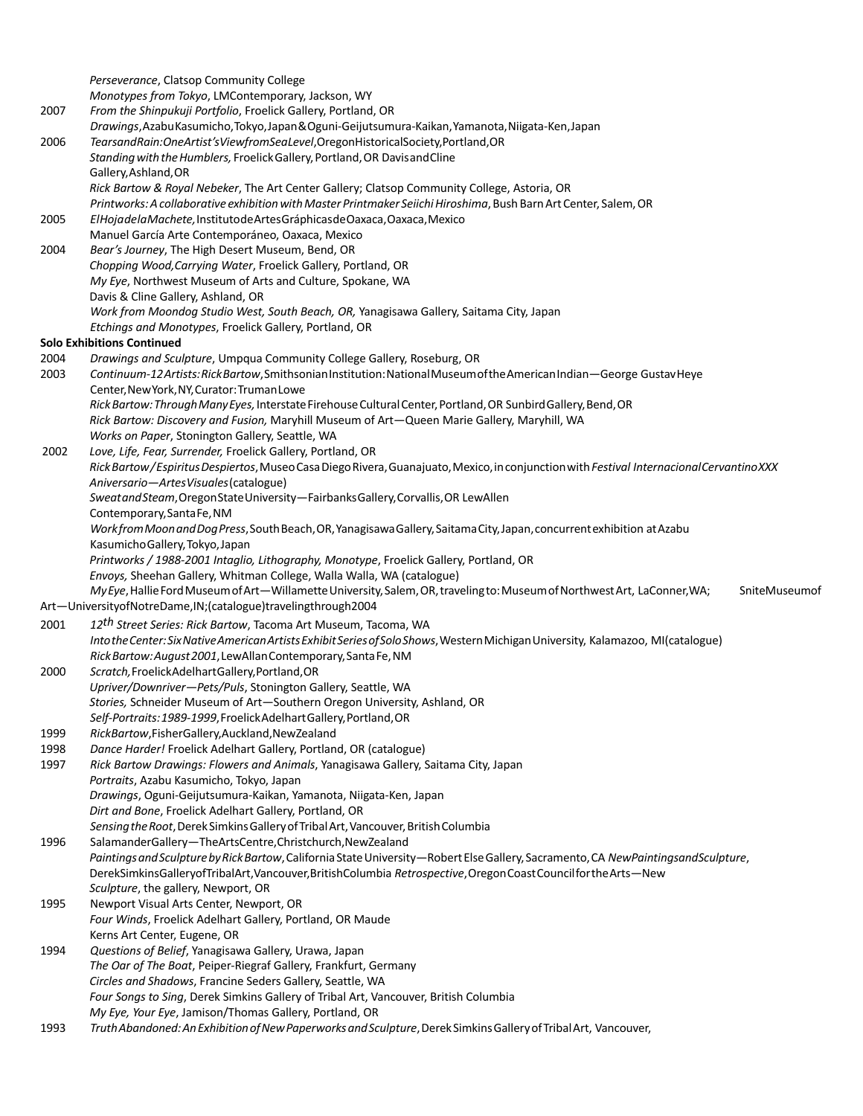|      | Perseverance, Clatsop Community College                                                                                                   |
|------|-------------------------------------------------------------------------------------------------------------------------------------------|
|      | Monotypes from Tokyo, LMContemporary, Jackson, WY                                                                                         |
| 2007 | From the Shinpukuji Portfolio, Froelick Gallery, Portland, OR                                                                             |
|      | Drawings, Azabu Kasumicho, Tokyo, Japan & Oguni-Geijutsumura-Kaikan, Yamanota, Niigata-Ken, Japan                                         |
| 2006 | TearsandRain:OneArtist'sViewfromSeaLevel,OregonHistoricalSociety,Portland,OR                                                              |
|      | Standing with the Humblers, Froelick Gallery, Portland, OR Davisand Cline                                                                 |
|      | Gallery, Ashland, OR                                                                                                                      |
|      | Rick Bartow & Royal Nebeker, The Art Center Gallery; Clatsop Community College, Astoria, OR                                               |
|      | Printworks: A collaborative exhibition with Master Printmaker Seiichi Hiroshima, Bush Barn Art Center, Salem, OR                          |
| 2005 | ElHojadela Machete, Instituto de Artes Gráphicas de Oaxaca, Oaxaca, Mexico                                                                |
|      | Manuel García Arte Contemporáneo, Oaxaca, Mexico                                                                                          |
| 2004 | Bear's Journey, The High Desert Museum, Bend, OR                                                                                          |
|      | Chopping Wood, Carrying Water, Froelick Gallery, Portland, OR                                                                             |
|      | My Eye, Northwest Museum of Arts and Culture, Spokane, WA                                                                                 |
|      | Davis & Cline Gallery, Ashland, OR                                                                                                        |
|      | Work from Moondog Studio West, South Beach, OR, Yanagisawa Gallery, Saitama City, Japan                                                   |
|      | Etchings and Monotypes, Froelick Gallery, Portland, OR                                                                                    |
|      | <b>Solo Exhibitions Continued</b>                                                                                                         |
| 2004 | Drawings and Sculpture, Umpqua Community College Gallery, Roseburg, OR                                                                    |
| 2003 | Continuum-12Artists: Rick Bartow, Smithsonian Institution: National Museum of the American Indian-George Gustav Heye                      |
|      | Center, New York, NY, Curator: Truman Lowe                                                                                                |
|      | Rick Bartow: Through Many Eyes, Interstate Firehouse Cultural Center, Portland, OR Sunbird Gallery, Bend, OR                              |
|      | Rick Bartow: Discovery and Fusion, Maryhill Museum of Art-Queen Marie Gallery, Maryhill, WA                                               |
|      | Works on Paper, Stonington Gallery, Seattle, WA                                                                                           |
| 2002 | Love, Life, Fear, Surrender, Froelick Gallery, Portland, OR                                                                               |
|      | Rick Bartow/Espiritus Despiertos, Museo Casa Diego Rivera, Guanajuato, Mexico, in conjunction with Festival Internacional Cervantino XXX  |
|      | Aniversario-ArtesVisuales(catalogue)                                                                                                      |
|      | Sweatand Steam, Oregon State University - Fairbanks Gallery, Corvallis, OR Lew Allen                                                      |
|      | Contemporary, Santa Fe, NM                                                                                                                |
|      | Work from Moon and Dog Press, South Beach, OR, Yanagisawa Gallery, Saitama City, Japan, concurrent exhibition at Azabu                    |
|      | Kasumicho Gallery, Tokyo, Japan                                                                                                           |
|      | Printworks / 1988-2001 Intaglio, Lithography, Monotype, Froelick Gallery, Portland, OR                                                    |
|      | Envoys, Sheehan Gallery, Whitman College, Walla Walla, WA (catalogue)                                                                     |
|      | My Eye, Hallie Ford Museum of Art-Willamette University, Salem, OR, traveling to: Museum of Northwest Art, LaConner, WA;<br>SniteMuseumof |
|      | Art-UniversityofNotreDame,IN;(catalogue)travelingthrough2004                                                                              |
| 2001 | 12 <sup>th</sup> Street Series: Rick Bartow, Tacoma Art Museum, Tacoma, WA                                                                |
|      | Into the Center: Six Native American Artists Exhibit Series of Solo Shows, Western Michigan University, Kalamazoo, MI(catalogue)          |
|      | Rick Bartow: August 2001, Lew Allan Contemporary, Santa Fe, NM                                                                            |
| 2000 | Scratch, Froelick Adelhart Gallery, Portland, OR                                                                                          |
|      | Upriver/Downriver-Pets/Puls, Stonington Gallery, Seattle, WA                                                                              |
|      | Stories, Schneider Museum of Art-Southern Oregon University, Ashland, OR                                                                  |
|      | Self-Portraits: 1989-1999, Froelick Adelhart Gallery, Portland, OR                                                                        |
| 1999 | RickBartow, Fisher Gallery, Auckland, New Zealand                                                                                         |
| 1998 | Dance Harder! Froelick Adelhart Gallery, Portland, OR (catalogue)                                                                         |
| 1997 | Rick Bartow Drawings: Flowers and Animals, Yanagisawa Gallery, Saitama City, Japan                                                        |
|      | Portraits, Azabu Kasumicho, Tokyo, Japan                                                                                                  |
|      | Drawings, Oguni-Geijutsumura-Kaikan, Yamanota, Niigata-Ken, Japan                                                                         |
|      | Dirt and Bone, Froelick Adelhart Gallery, Portland, OR                                                                                    |
|      | Sensing the Root, Derek Simkins Gallery of Tribal Art, Vancouver, British Columbia                                                        |
| 1996 | SalamanderGallery-TheArtsCentre,Christchurch,NewZealand                                                                                   |
|      | Paintings and Sculpture by Rick Bartow, California State University-Robert Else Gallery, Sacramento, CA NewPaintingsandSculpture,         |
|      | DerekSimkinsGalleryofTribalArt, Vancouver, BritishColumbia Retrospective, Oregon Coast Council for the Arts-New                           |
|      | Sculpture, the gallery, Newport, OR                                                                                                       |
| 1995 | Newport Visual Arts Center, Newport, OR                                                                                                   |
|      | Four Winds, Froelick Adelhart Gallery, Portland, OR Maude                                                                                 |
|      | Kerns Art Center, Eugene, OR                                                                                                              |
| 1994 | Questions of Belief, Yanagisawa Gallery, Urawa, Japan                                                                                     |
|      | The Oar of The Boat, Peiper-Riegraf Gallery, Frankfurt, Germany                                                                           |
|      | Circles and Shadows, Francine Seders Gallery, Seattle, WA                                                                                 |
|      | Four Songs to Sing, Derek Simkins Gallery of Tribal Art, Vancouver, British Columbia                                                      |
|      | My Eye, Your Eye, Jamison/Thomas Gallery, Portland, OR                                                                                    |
| 1993 | Truth Abandoned: An Exhibition of New Paperworks and Sculpture, Derek Simkins Gallery of Tribal Art, Vancouver,                           |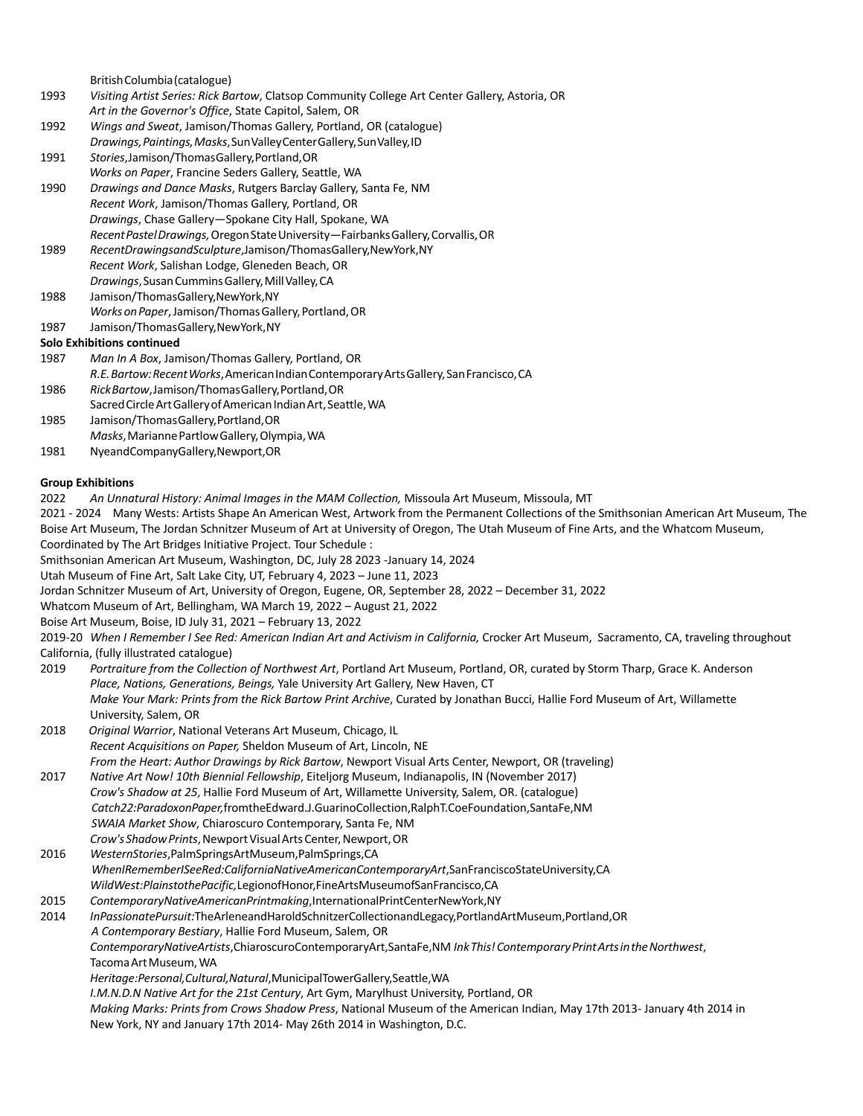BritishColumbia(catalogue) 1993 *Visiting Artist Series: Rick Bartow*, Clatsop Community College Art Center Gallery, Astoria, OR *Art in the Governor's Office*, State Capitol, Salem, OR 1992 *Wings and Sweat*, Jamison/Thomas Gallery, Portland, OR (catalogue) *Drawings,Paintings,Masks*,SunValleyCenterGallery,SunValley,ID 1991 *Stories*,Jamison/ThomasGallery,Portland,OR *Works on Paper*, Francine Seders Gallery, Seattle, WA 1990 *Drawings and Dance Masks*, Rutgers Barclay Gallery, Santa Fe, NM *Recent Work*, Jamison/Thomas Gallery, Portland, OR *Drawings*, Chase Gallery—Spokane City Hall, Spokane, WA *RecentPastelDrawings,*OregonStateUniversity—FairbanksGallery,Corvallis,OR 1989 *RecentDrawingsandSculpture*,Jamison/ThomasGallery,NewYork,NY *Recent Work*, Salishan Lodge, Gleneden Beach, OR *Drawings*,SusanCumminsGallery,MillValley,CA 1988 Jamison/ThomasGallery,NewYork,NY Works on Paper, Jamison/Thomas Gallery, Portland, OR 1987 Jamison/ThomasGallery,NewYork,NY **Solo Exhibitions continued** 1987 *Man In A Box*, Jamison/Thomas Gallery, Portland, OR

*R.E.Bartow:RecentWorks*,AmericanIndianContemporaryArtsGallery,SanFrancisco,CA

1986 *RickBartow*,Jamison/ThomasGallery,Portland,OR

- Sacred Circle Art Gallery of American Indian Art, Seattle, WA
- 1985 Jamison/ThomasGallery,Portland,OR
- *Masks*,MariannePartlowGallery,Olympia,WA
- 1981 NyeandCompanyGallery,Newport,OR

#### **Group Exhibitions**

2022 *An Unnatural History: Animal Images in the MAM Collection,* Missoula Art Museum, Missoula, MT

2021 - 2024 Many Wests: Artists Shape An American West, Artwork from the Permanent Collections of the Smithsonian American Art Museum, The Boise Art Museum, The Jordan Schnitzer Museum of Art at University of Oregon, The Utah Museum of Fine Arts, and the Whatcom Museum, Coordinated by The Art Bridges Initiative Project. Tour Schedule :

Smithsonian American Art Museum, Washington, DC, July 28 2023 -January 14, 2024

Utah Museum of Fine Art, Salt Lake City, UT, February 4, 2023 – June 11, 2023

Jordan Schnitzer Museum of Art, University of Oregon, Eugene, OR, September 28, 2022 – December 31, 2022

Whatcom Museum of Art, Bellingham, WA March 19, 2022 – August 21, 2022

Boise Art Museum, Boise, ID July 31, 2021 – February 13, 2022

2019-20 *When I Remember I See Red: American Indian Art and Activism in California,* Crocker Art Museum, Sacramento, CA, traveling throughout California, (fully illustrated catalogue)

- 2019 *Portraiture from the Collection of Northwest Art*, Portland Art Museum, Portland, OR, curated by Storm Tharp, Grace K. Anderson *Place, Nations, Generations, Beings,* Yale University Art Gallery, New Haven, CT *Make Your Mark: Prints from the Rick Bartow Print Archive*, Curated by Jonathan Bucci, Hallie Ford Museum of Art, Willamette University, Salem, OR
- 2018 *Original Warrior*, National Veterans Art Museum, Chicago, IL *Recent Acquisitions on Paper,* Sheldon Museum of Art, Lincoln, NE *From the Heart: Author Drawings by Rick Bartow*, Newport Visual Arts Center, Newport, OR (traveling)
- 2017 *Native Art Now! 10th Biennial Fellowship*, Eiteljorg Museum, Indianapolis, IN (November 2017) *Crow's Shadow at 25*, Hallie Ford Museum of Art, Willamette University, Salem, OR. (catalogue) *Catch22:ParadoxonPaper,*fromtheEdward.J.GuarinoCollection,RalphT.CoeFoundation,SantaFe,NM *SWAIA Market Show*, Chiaroscuro Contemporary, Santa Fe, NM
- *Crow's Shadow Prints*, Newport Visual Arts Center, Newport, OR 2016 *WesternStories*,PalmSpringsArtMuseum,PalmSprings,CA *WhenIRememberISeeRed:CaliforniaNativeAmericanContemporaryArt*,SanFranciscoStateUniversity,CA *WildWest:PlainstothePacific,*LegionofHonor,FineArtsMuseumofSanFrancisco,CA
- 2015 *ContemporaryNativeAmericanPrintmaking*,InternationalPrintCenterNewYork,NY

```
2014 InPassionatePursuit:TheArleneandHaroldSchnitzerCollectionandLegacy,PortlandArtMuseum,Portland,OR
 A Contemporary Bestiary, Hallie Ford Museum, Salem, OR
 ContemporaryNativeArtists,ChiaroscuroContemporaryArt,SantaFe,NM InkThis!ContemporaryPrintArtsintheNorthwest,
 Tacoma Art Museum, WA
Heritage:Personal,Cultural,Natural,MunicipalTowerGallery,Seattle,WA
I.M.N.D.N Native Art for the 21st Century, Art Gym, Marylhust University, Portland, OR
 Making Marks: Prints from Crows Shadow Press, National Museum of the American Indian, May 17th 2013- January 4th 2014 in
```
New York, NY and January 17th 2014- May 26th 2014 in Washington, D.C.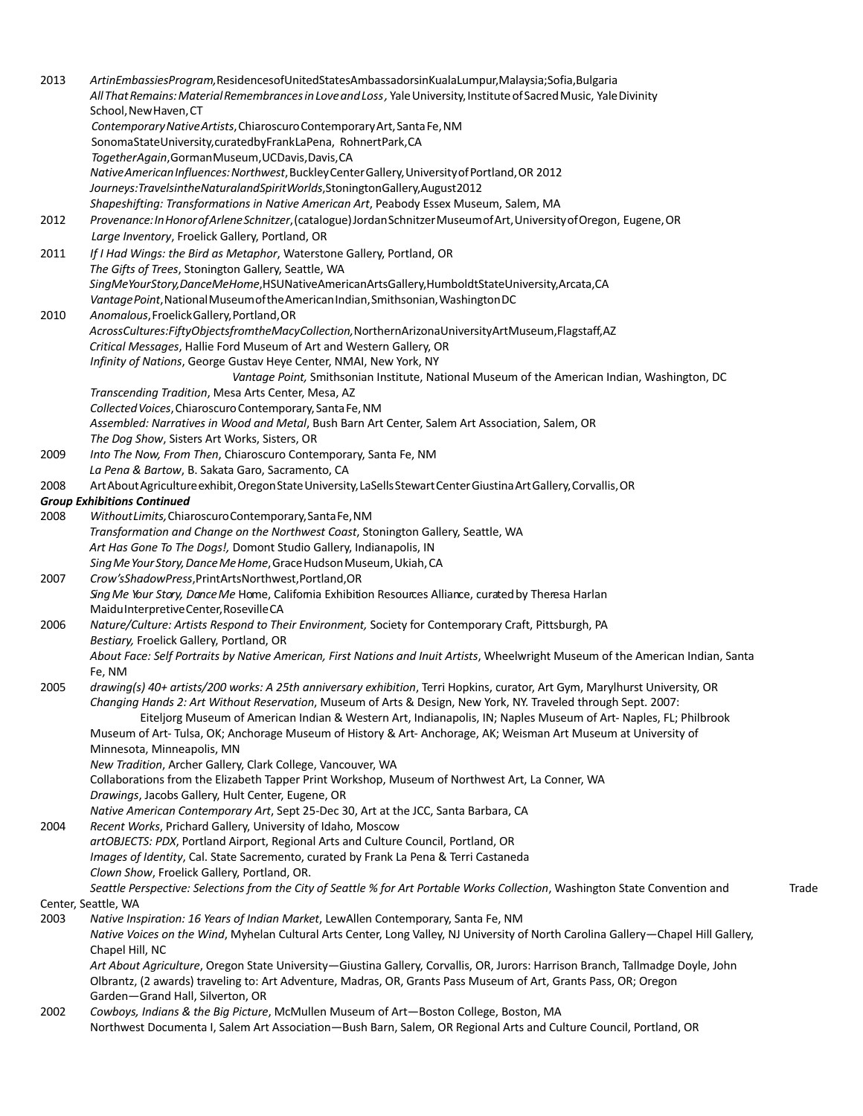2013 *ArtinEmbassiesProgram,*ResidencesofUnitedStatesAmbassadorsinKualaLumpur,Malaysia;Sofia,Bulgaria *AllThatRemains:MaterialRemembrancesinLoveandLoss,* YaleUniversity,InstituteofSacredMusic, YaleDivinity School,NewHaven,CT *ContemporaryNativeArtists*,ChiaroscuroContemporaryArt,SantaFe,NM SonomaStateUniversity,curatedbyFrankLaPena, RohnertPark,CA *TogetherAgain*,GormanMuseum,UCDavis,Davis,CA *NativeAmericanInfluences:Northwest*,BuckleyCenterGallery,UniversityofPortland,OR 2012 *Journeys:TravelsintheNaturalandSpiritWorlds*,StoningtonGallery,August2012 *Shapeshifting: Transformations in Native American Art*, Peabody Essex Museum, Salem, MA 2012 *Provenance:InHonorofArleneSchnitzer*,(catalogue)JordanSchnitzerMuseumofArt,UniversityofOregon, Eugene,OR *Large Inventory*, Froelick Gallery, Portland, OR 2011 *If I Had Wings: the Bird as Metaphor*, Waterstone Gallery, Portland, OR *The Gifts of Trees*, Stonington Gallery, Seattle, WA *SingMeYourStory,DanceMeHome*,HSUNativeAmericanArtsGallery,HumboldtStateUniversity,Arcata,CA *VantagePoint*,NationalMuseumoftheAmericanIndian,Smithsonian,WashingtonDC 2010 *Anomalous*,FroelickGallery,Portland,OR *AcrossCultures:FiftyObjectsfromtheMacyCollection,*NorthernArizonaUniversityArtMuseum,Flagstaff,AZ *Critical Messages*, Hallie Ford Museum of Art and Western Gallery, OR *Infinity of Nations*, George Gustav Heye Center, NMAI, New York, NY *Vantage Point,* Smithsonian Institute, National Museum of the American Indian, Washington, DC *Transcending Tradition*, Mesa Arts Center, Mesa, AZ *CollectedVoices*,ChiaroscuroContemporary,SantaFe,NM *Assembled: Narratives in Wood and Metal*, Bush Barn Art Center, Salem Art Association, Salem, OR *The Dog Show*, Sisters Art Works, Sisters, OR 2009 *Into The Now, From Then*, Chiaroscuro Contemporary, Santa Fe, NM *La Pena & Bartow*, B. Sakata Garo, Sacramento, CA 2008 Art About Agriculture exhibit, Oregon State University, LaSells Stewart Center Giustina Art Gallery, Corvallis, OR *Group Exhibitions Continued* 2008 *WithoutLimits,*ChiaroscuroContemporary,SantaFe,NM *Transformation and Change on the Northwest Coast*, Stonington Gallery, Seattle, WA *Art Has Gone To The Dogs!,* Domont Studio Gallery, Indianapolis, IN *SingMeYourStory,DanceMeHome*,GraceHudsonMuseum,Ukiah,CA 2007 *Crow'sShadowPress*,PrintArtsNorthwest,Portland,OR *SingMe Your Story, DanceMe* Home, California Exhibition Resources Alliance, curatedby Theresa Harlan MaiduInterpretiveCenter,RosevilleCA 2006 *Nature/Culture: Artists Respond to Their Environment,* Society for Contemporary Craft, Pittsburgh, PA *Bestiary,* Froelick Gallery, Portland, OR *About Face: Self Portraits by Native American, First Nations and Inuit Artists*, Wheelwright Museum of the American Indian, Santa Fe, NM 2005 *drawing(s) 40+ artists/200 works: A 25th anniversary exhibition*, Terri Hopkins, curator, Art Gym, Marylhurst University, OR *Changing Hands 2: Art Without Reservation*, Museum of Arts & Design, New York, NY. Traveled through Sept. 2007: Eiteljorg Museum of American Indian & Western Art, Indianapolis, IN; Naples Museum of Art- Naples, FL; Philbrook Museum of Art- Tulsa, OK; Anchorage Museum of History & Art- Anchorage, AK; Weisman Art Museum at University of Minnesota, Minneapolis, MN *New Tradition*, Archer Gallery, Clark College, Vancouver, WA Collaborations from the Elizabeth Tapper Print Workshop, Museum of Northwest Art, La Conner, WA *Drawings*, Jacobs Gallery, Hult Center, Eugene, OR *Native American Contemporary Art*, Sept 25-Dec 30, Art at the JCC, Santa Barbara, CA 2004 *Recent Works*, Prichard Gallery, University of Idaho, Moscow *artOBJECTS: PDX*, Portland Airport, Regional Arts and Culture Council, Portland, OR *Images of Identity*, Cal. State Sacremento, curated by Frank La Pena & Terri Castaneda *Clown Show*, Froelick Gallery, Portland, OR. *Seattle Perspective: Selections from the City of Seattle % for Art Portable Works Collection*, Washington State Convention and Trade Center, Seattle, WA 2003 *Native Inspiration: 16 Years of Indian Market*, LewAllen Contemporary, Santa Fe, NM *Native Voices on the Wind*, Myhelan Cultural Arts Center, Long Valley, NJ University of North Carolina Gallery—Chapel Hill Gallery, Chapel Hill, NC *Art About Agriculture*, Oregon State University—Giustina Gallery, Corvallis, OR, Jurors: Harrison Branch, Tallmadge Doyle, John Olbrantz, (2 awards) traveling to: Art Adventure, Madras, OR, Grants Pass Museum of Art, Grants Pass, OR; Oregon Garden—Grand Hall, Silverton, OR 2002 *Cowboys, Indians & the Big Picture*, McMullen Museum of Art—Boston College, Boston, MA Northwest Documenta I, Salem Art Association—Bush Barn, Salem, OR Regional Arts and Culture Council, Portland, OR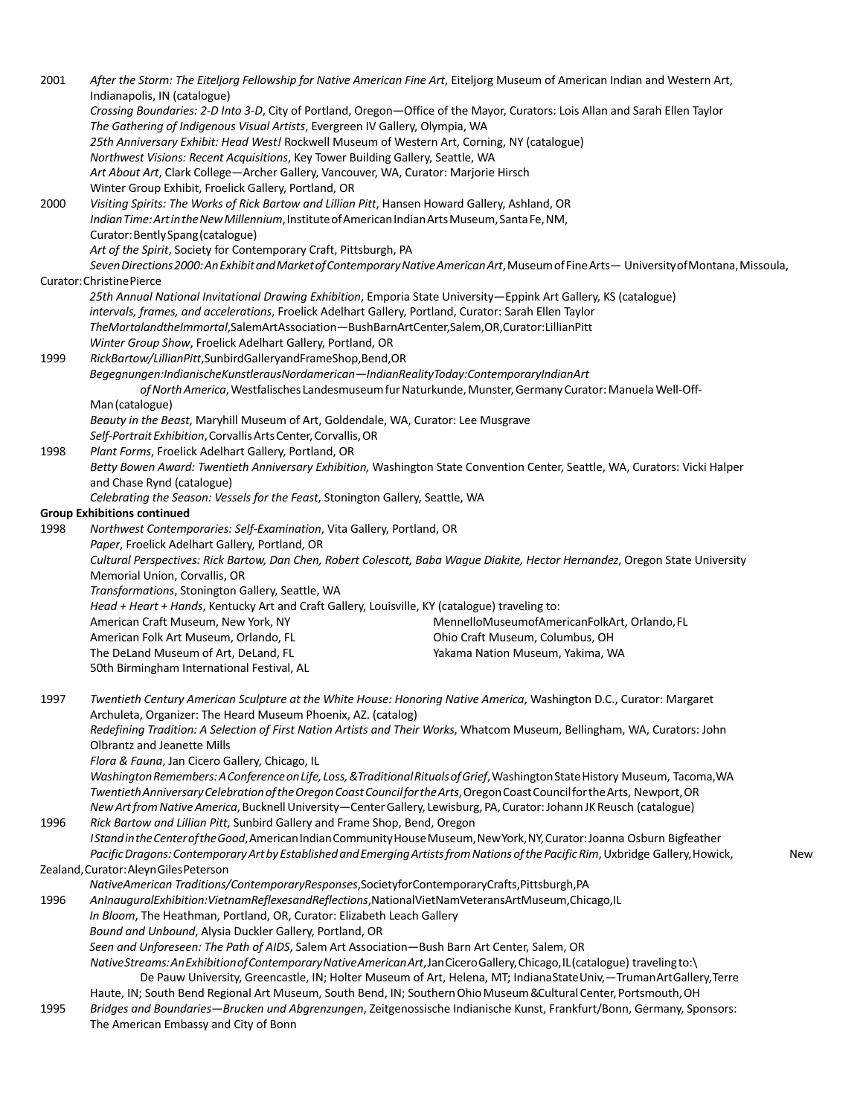2001 *After the Storm: The Eiteljorg Fellowship for Native American Fine Art*, Eiteljorg Museum of American Indian and Western Art, Indianapolis, IN (catalogue) *Crossing Boundaries: 2-D Into 3-D*, City of Portland, Oregon—Office of the Mayor, Curators: Lois Allan and Sarah Ellen Taylor *The Gathering of Indigenous Visual Artists*, Evergreen IV Gallery, Olympia, WA *25th Anniversary Exhibit: Head West!* Rockwell Museum of Western Art, Corning, NY (catalogue) *Northwest Visions: Recent Acquisitions*, Key Tower Building Gallery, Seattle, WA *Art About Art*, Clark College—Archer Gallery, Vancouver, WA, Curator: Marjorie Hirsch Winter Group Exhibit, Froelick Gallery, Portland, OR 2000 *Visiting Spirits: The Works of Rick Bartow and Lillian Pitt*, Hansen Howard Gallery, Ashland, OR *IndianTime:ArtintheNewMillennium*,InstituteofAmericanIndianArtsMuseum,SantaFe,NM, Curator:BentlySpang(catalogue) *Art of the Spirit*, Society for Contemporary Craft, Pittsburgh, PA *SevenDirections2000:AnExhibitandMarketofContemporaryNativeAmericanArt*,MuseumofFineArts— UniversityofMontana,Missoula, Curator:ChristinePierce *25th Annual National Invitational Drawing Exhibition*, Emporia State University—Eppink Art Gallery, KS (catalogue) *intervals, frames, and accelerations*, Froelick Adelhart Gallery, Portland, Curator: Sarah Ellen Taylor *TheMortalandtheImmortal*,SalemArtAssociation—BushBarnArtCenter,Salem,OR,Curator:LillianPitt *Winter Group Show*, Froelick Adelhart Gallery, Portland, OR 1999 *RickBartow/LillianPitt*,SunbirdGalleryandFrameShop,Bend,OR *Begegnungen:IndianischeKunstlerausNordamerican—IndianRealityToday:ContemporaryIndianArt* of North America, Westfalisches Landesmuseum fur Naturkunde, Munster, Germany Curator: Manuela Well-Off-Man(catalogue) *Beauty in the Beast*, Maryhill Museum of Art, Goldendale, WA, Curator: Lee Musgrave *Self-PortraitExhibition*,CorvallisArtsCenter,Corvallis,OR 1998 *Plant Forms*, Froelick Adelhart Gallery, Portland, OR *Betty Bowen Award: Twentieth Anniversary Exhibition,* Washington State Convention Center, Seattle, WA, Curators: Vicki Halper and Chase Rynd (catalogue) *Celebrating the Season: Vessels for the Feast*, Stonington Gallery, Seattle, WA **Group Exhibitions continued** 1998 *Northwest Contemporaries: Self-Examination*, Vita Gallery, Portland, OR *Paper*, Froelick Adelhart Gallery, Portland, OR *Cultural Perspectives: Rick Bartow, Dan Chen, Robert Colescott, Baba Wague Diakite, Hector Hernandez*, Oregon State University Memorial Union, Corvallis, OR *Transformations*, Stonington Gallery, Seattle, WA *Head + Heart + Hands*, Kentucky Art and Craft Gallery, Louisville, KY (catalogue) traveling to: American Craft Museum, New York, NY American Folk Art Museum, Orlando, FL The DeLand Museum of Art, DeLand, FL 50th Birmingham International Festival, AL MennelloMuseumofAmericanFolkArt, Orlando,FL Ohio Craft Museum, Columbus, OH Yakama Nation Museum, Yakima, WA 1997 *Twentieth Century American Sculpture at the White House: Honoring Native America*, Washington D.C., Curator: Margaret Archuleta, Organizer: The Heard Museum Phoenix, AZ. (catalog) *Redefining Tradition: A Selection of First Nation Artists and Their Works*, Whatcom Museum, Bellingham, WA, Curators: John Olbrantz and Jeanette Mills *Flora & Fauna*, Jan Cicero Gallery, Chicago, IL Washington Remembers: A Conference on Life, Loss, & Traditional Rituals of Grief, Washington State History Museum, Tacoma, WA *TwentiethAnniversaryCelebrationoftheOregonCoastCouncilfortheArts*,OregonCoastCouncilfortheArts, Newport,OR *NewArtfromNativeAmerica*,BucknellUniversity—CenterGallery, Lewisburg, PA,Curator:Johann JKReusch (catalogue) 1996 *Rick Bartow and Lillian Pitt*, Sunbird Gallery and Frame Shop, Bend, Oregon *IStandintheCenteroftheGood*,AmericanIndianCommunityHouseMuseum,NewYork,NY,Curator:Joanna Osburn Bigfeather Pacific Dragons: Contemporary Art by Established and Emerging Artists from Nations of the Pacific Rim, Uxbridge Gallery, Howick, New Zealand,Curator:AleynGilesPeterson *NativeAmerican Traditions/ContemporaryResponses*,SocietyforContemporaryCrafts,Pittsburgh,PA 1996 *AnInauguralExhibition:VietnamReflexesandReflections*,NationalVietNamVeteransArtMuseum,Chicago,IL *In Bloom*, The Heathman, Portland, OR, Curator: Elizabeth Leach Gallery *Bound and Unbound*, Alysia Duckler Gallery, Portland, OR *Seen and Unforeseen: The Path of AIDS*, Salem Art Association—Bush Barn Art Center, Salem, OR *NativeStreams:AnExhibitionofContemporaryNativeAmericanArt*,JanCiceroGallery,Chicago,IL(catalogue) travelingto:\ De Pauw University, Greencastle, IN; Holter Museum of Art, Helena, MT; IndianaStateUniv,—TrumanArtGallery,Terre Haute, IN; South Bend Regional Art Museum, South Bend, IN; Southern Ohio Museum & Cultural Center, Portsmouth, OH 1995 *Bridges and Boundaries—Brucken und Abgrenzungen*, Zeitgenossische Indianische Kunst, Frankfurt/Bonn, Germany, Sponsors: The American Embassy and City of Bonn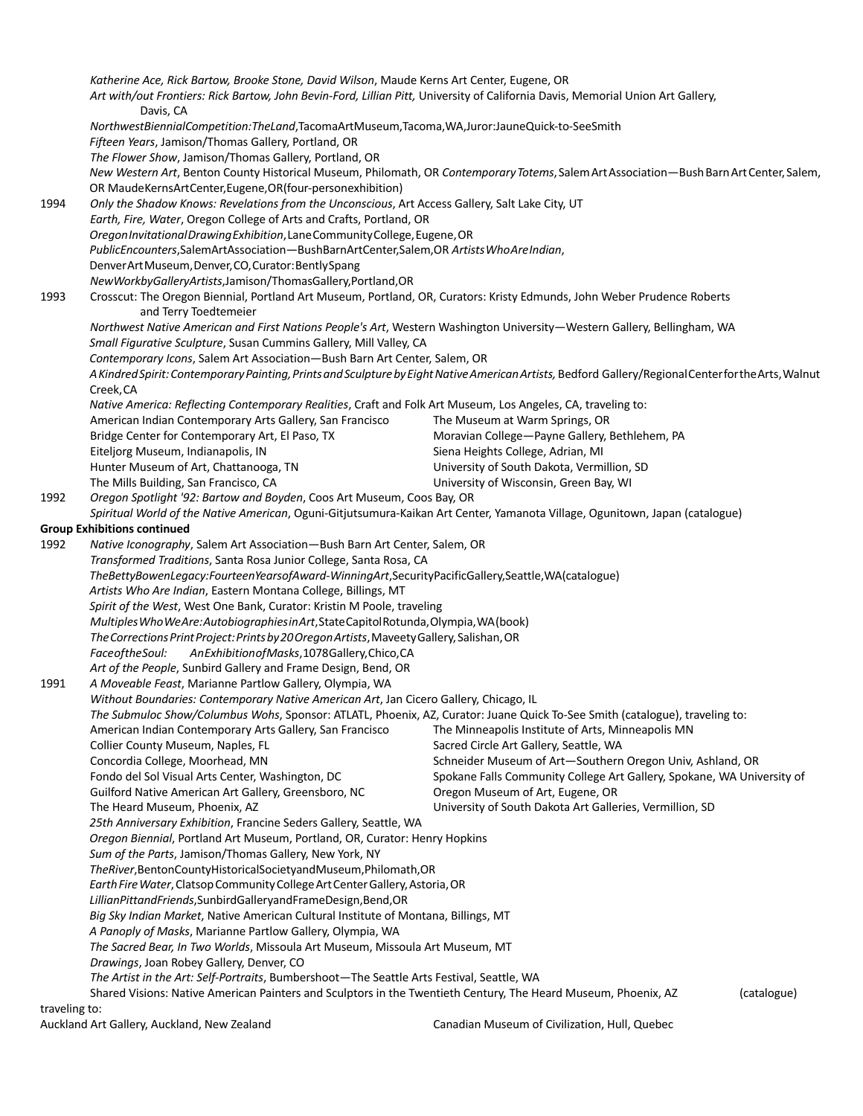*Katherine Ace, Rick Bartow, Brooke Stone, David Wilson*, Maude Kerns Art Center, Eugene, OR *Art with/out Frontiers: Rick Bartow, John Bevin-Ford, Lillian Pitt,* University of California Davis, Memorial Union Art Gallery, Davis, CA *NorthwestBiennialCompetition:TheLand*,TacomaArtMuseum,Tacoma,WA,Juror:JauneQuick-to-SeeSmith *Fifteen Years*, Jamison/Thomas Gallery, Portland, OR *The Flower Show*, Jamison/Thomas Gallery, Portland, OR *New Western Art*, Benton County Historical Museum, Philomath, OR *ContemporaryTotems*,SalemArtAssociation—BushBarnArtCenter,Salem, OR MaudeKernsArtCenter,Eugene,OR(four-personexhibition) 1994 *Only the Shadow Knows: Revelations from the Unconscious*, Art Access Gallery, Salt Lake City, UT *Earth, Fire, Water*, Oregon College of Arts and Crafts, Portland, OR *OregonInvitationalDrawingExhibition*,LaneCommunityCollege,Eugene,OR *PublicEncounters*,SalemArtAssociation—BushBarnArtCenter,Salem,OR *ArtistsWhoAreIndian*, DenverArtMuseum,Denver,CO,Curator:BentlySpang *NewWorkbyGalleryArtists*,Jamison/ThomasGallery,Portland,OR 1993 Crosscut: The Oregon Biennial, Portland Art Museum, Portland, OR, Curators: Kristy Edmunds, John Weber Prudence Roberts and Terry Toedtemeier *Northwest Native American and First Nations People's Art*, Western Washington University—Western Gallery, Bellingham, WA *Small Figurative Sculpture*, Susan Cummins Gallery, Mill Valley, CA *Contemporary Icons*, Salem Art Association—Bush Barn Art Center, Salem, OR *AKindredSpirit:ContemporaryPainting,PrintsandSculpturebyEightNativeAmericanArtists,* Bedford Gallery/RegionalCenterfortheArts,Walnut Creek,CA *Native America: Reflecting Contemporary Realities*, Craft and Folk Art Museum, Los Angeles, CA, traveling to: American Indian Contemporary Arts Gallery, San Francisco Bridge Center for Contemporary Art, El Paso, TX Eiteljorg Museum, Indianapolis, IN Hunter Museum of Art, Chattanooga, TN The Mills Building, San Francisco, CA The Museum at Warm Springs, OR Moravian College—Payne Gallery, Bethlehem, PA Siena Heights College, Adrian, MI University of South Dakota, Vermillion, SD University of Wisconsin, Green Bay, WI 1992 *Oregon Spotlight '92: Bartow and Boyden*, Coos Art Museum, Coos Bay, OR *Spiritual World of the Native American*, Oguni-Gitjutsumura-Kaikan Art Center, Yamanota Village, Ogunitown, Japan (catalogue) **Group Exhibitions continued** 1992 *Native Iconography*, Salem Art Association—Bush Barn Art Center, Salem, OR *Transformed Traditions*, Santa Rosa Junior College, Santa Rosa, CA *TheBettyBowenLegacy:FourteenYearsofAward-WinningArt*,SecurityPacificGallery,Seattle,WA(catalogue) *Artists Who Are Indian*, Eastern Montana College, Billings, MT *Spirit of the West*, West One Bank, Curator: Kristin M Poole, traveling *MultiplesWhoWeAre:AutobiographiesinArt*,StateCapitolRotunda,Olympia,WA(book) *TheCorrectionsPrintProject:Printsby20OregonArtists*,MaveetyGallery,Salishan,OR *FaceoftheSoul: AnExhibitionofMasks*,1078Gallery,Chico,CA *Art of the People*, Sunbird Gallery and Frame Design, Bend, OR 1991 *A Moveable Feast*, Marianne Partlow Gallery, Olympia, WA *Without Boundaries: Contemporary Native American Art*, Jan Cicero Gallery, Chicago, IL *The Submuloc Show/Columbus Wohs*, Sponsor: ATLATL, Phoenix, AZ, Curator: Juane Quick To-See Smith (catalogue), traveling to: American Indian Contemporary Arts Gallery, San Francisco Collier County Museum, Naples, FL Concordia College, Moorhead, MN Fondo del Sol Visual Arts Center, Washington, DC Guilford Native American Art Gallery, Greensboro, NC The Heard Museum, Phoenix, AZ The Minneapolis Institute of Arts, Minneapolis MN Sacred Circle Art Gallery, Seattle, WA Schneider Museum of Art—Southern Oregon Univ, Ashland, OR Spokane Falls Community College Art Gallery, Spokane, WA University of Oregon Museum of Art, Eugene, OR University of South Dakota Art Galleries, Vermillion, SD *25th Anniversary Exhibition*, Francine Seders Gallery, Seattle, WA *Oregon Biennial*, Portland Art Museum, Portland, OR, Curator: Henry Hopkins *Sum of the Parts*, Jamison/Thomas Gallery, New York, NY *TheRiver*,BentonCountyHistoricalSocietyandMuseum,Philomath,OR **Earth Fire Water, Clatsop Community College Art Center Gallery, Astoria, OR** *LillianPittandFriends*,SunbirdGalleryandFrameDesign,Bend,OR *Big Sky Indian Market*, Native American Cultural Institute of Montana, Billings, MT *A Panoply of Masks*, Marianne Partlow Gallery, Olympia, WA *The Sacred Bear, In Two Worlds*, Missoula Art Museum, Missoula Art Museum, MT *Drawings*, Joan Robey Gallery, Denver, CO *The Artist in the Art: Self-Portraits*, Bumbershoot—The Seattle Arts Festival, Seattle, WA Shared Visions: Native American Painters and Sculptors in the Twentieth Century, The Heard Museum, Phoenix, AZ (catalogue) traveling to:

Auckland Art Gallery, Auckland, New Zealand Canadian Museum of Civilization, Hull, Quebec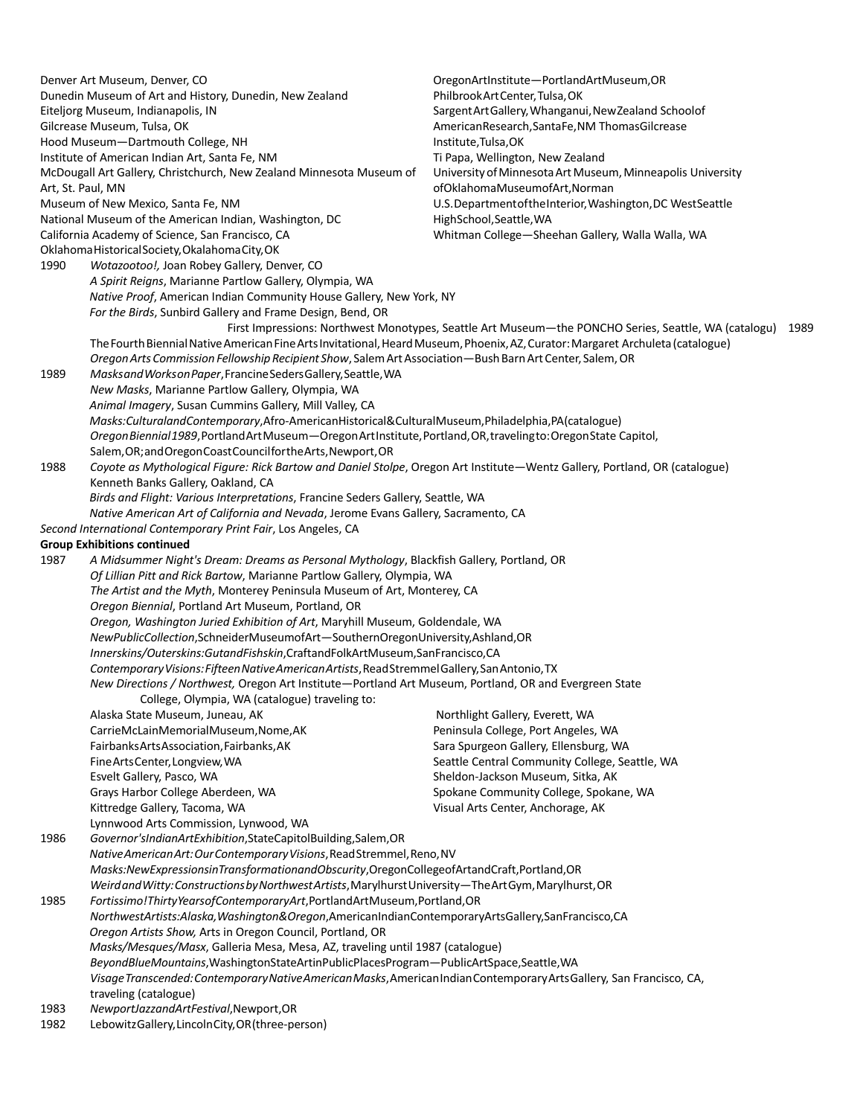| Denver Art Museum, Denver, CO                                                                                                                     |                                                                                                                                                                              | OregonArtInstitute-PortlandArtMuseum,OR                                                                   |  |  |
|---------------------------------------------------------------------------------------------------------------------------------------------------|------------------------------------------------------------------------------------------------------------------------------------------------------------------------------|-----------------------------------------------------------------------------------------------------------|--|--|
| Dunedin Museum of Art and History, Dunedin, New Zealand                                                                                           |                                                                                                                                                                              | Philbrook Art Center, Tulsa, OK                                                                           |  |  |
|                                                                                                                                                   | Eiteljorg Museum, Indianapolis, IN                                                                                                                                           | Sargent Art Gallery, Whanganui, New Zealand Schoolof                                                      |  |  |
|                                                                                                                                                   | Gilcrease Museum, Tulsa, OK                                                                                                                                                  | AmericanResearch, SantaFe, NM Thomas Gilcrease                                                            |  |  |
|                                                                                                                                                   | Hood Museum-Dartmouth College, NH                                                                                                                                            | Institute, Tulsa, OK                                                                                      |  |  |
|                                                                                                                                                   | Institute of American Indian Art, Santa Fe, NM                                                                                                                               | Ti Papa, Wellington, New Zealand                                                                          |  |  |
|                                                                                                                                                   | McDougall Art Gallery, Christchurch, New Zealand Minnesota Museum of                                                                                                         | University of Minnesota Art Museum, Minneapolis University                                                |  |  |
| Art, St. Paul, MN                                                                                                                                 |                                                                                                                                                                              | ofOklahomaMuseumofArt, Norman                                                                             |  |  |
|                                                                                                                                                   | Museum of New Mexico, Santa Fe, NM                                                                                                                                           | U.S. Department of the Interior, Washington, DC West Seattle                                              |  |  |
|                                                                                                                                                   | National Museum of the American Indian, Washington, DC                                                                                                                       | HighSchool,Seattle,WA                                                                                     |  |  |
|                                                                                                                                                   | California Academy of Science, San Francisco, CA                                                                                                                             | Whitman College-Sheehan Gallery, Walla Walla, WA                                                          |  |  |
|                                                                                                                                                   | Oklahoma Historical Society, Okalahoma City, OK                                                                                                                              |                                                                                                           |  |  |
| 1990                                                                                                                                              | Wotazootoo!, Joan Robey Gallery, Denver, CO                                                                                                                                  |                                                                                                           |  |  |
|                                                                                                                                                   | A Spirit Reigns, Marianne Partlow Gallery, Olympia, WA                                                                                                                       |                                                                                                           |  |  |
|                                                                                                                                                   | Native Proof, American Indian Community House Gallery, New York, NY<br>For the Birds, Sunbird Gallery and Frame Design, Bend, OR                                             |                                                                                                           |  |  |
|                                                                                                                                                   |                                                                                                                                                                              | First Impressions: Northwest Monotypes, Seattle Art Museum-the PONCHO Series, Seattle, WA (catalogu) 1989 |  |  |
|                                                                                                                                                   | The Fourth Biennial Native American Fine Arts Invitational, Heard Museum, Phoenix, AZ, Curator: Margaret Archuleta (catalogue)                                               |                                                                                                           |  |  |
| 1989                                                                                                                                              | Oregon Arts Commission Fellowship Recipient Show, Salem Art Association-Bush Barn Art Center, Salem, OR<br>Masks and Works on Paper, Francine Seders Gallery, Seattle, WA    |                                                                                                           |  |  |
|                                                                                                                                                   |                                                                                                                                                                              |                                                                                                           |  |  |
|                                                                                                                                                   | New Masks, Marianne Partlow Gallery, Olympia, WA                                                                                                                             |                                                                                                           |  |  |
|                                                                                                                                                   | Animal Imagery, Susan Cummins Gallery, Mill Valley, CA                                                                                                                       |                                                                                                           |  |  |
|                                                                                                                                                   | Masks: Culturaland Contemporary, Afro-American Historical & Cultural Museum, Philadelphia, PA (catalogue)                                                                    |                                                                                                           |  |  |
|                                                                                                                                                   | Oregon Biennial 1989, Portland Art Museum - Oregon Art Institute, Portland, OR, traveling to: Oregon State Capitol,                                                          |                                                                                                           |  |  |
|                                                                                                                                                   | Salem, OR; and Oregon Coast Council for the Arts, Newport, OR                                                                                                                |                                                                                                           |  |  |
| 1988                                                                                                                                              | Coyote as Mythological Figure: Rick Bartow and Daniel Stolpe, Oregon Art Institute-Wentz Gallery, Portland, OR (catalogue)                                                   |                                                                                                           |  |  |
|                                                                                                                                                   | Kenneth Banks Gallery, Oakland, CA                                                                                                                                           |                                                                                                           |  |  |
|                                                                                                                                                   | Birds and Flight: Various Interpretations, Francine Seders Gallery, Seattle, WA                                                                                              |                                                                                                           |  |  |
|                                                                                                                                                   | Native American Art of California and Nevada, Jerome Evans Gallery, Sacramento, CA                                                                                           |                                                                                                           |  |  |
|                                                                                                                                                   | Second International Contemporary Print Fair, Los Angeles, CA                                                                                                                |                                                                                                           |  |  |
|                                                                                                                                                   | <b>Group Exhibitions continued</b>                                                                                                                                           |                                                                                                           |  |  |
| 1987                                                                                                                                              | A Midsummer Night's Dream: Dreams as Personal Mythology, Blackfish Gallery, Portland, OR                                                                                     |                                                                                                           |  |  |
| Of Lillian Pitt and Rick Bartow, Marianne Partlow Gallery, Olympia, WA<br>The Artist and the Myth, Monterey Peninsula Museum of Art, Monterey, CA |                                                                                                                                                                              |                                                                                                           |  |  |
|                                                                                                                                                   |                                                                                                                                                                              |                                                                                                           |  |  |
|                                                                                                                                                   | Oregon Biennial, Portland Art Museum, Portland, OR<br>Oregon, Washington Juried Exhibition of Art, Maryhill Museum, Goldendale, WA                                           |                                                                                                           |  |  |
|                                                                                                                                                   |                                                                                                                                                                              |                                                                                                           |  |  |
|                                                                                                                                                   | NewPublicCollection,SchneiderMuseumofArt-SouthernOregonUniversity,Ashland,OR                                                                                                 |                                                                                                           |  |  |
|                                                                                                                                                   | Innerskins/Outerskins:GutandFishskin,CraftandFolkArtMuseum,SanFrancisco,CA                                                                                                   |                                                                                                           |  |  |
|                                                                                                                                                   | Contemporary Visions: Fifteen Native American Artists, Read Stremmel Gallery, San Antonio, TX                                                                                |                                                                                                           |  |  |
|                                                                                                                                                   | New Directions / Northwest, Oregon Art Institute-Portland Art Museum, Portland, OR and Evergreen State                                                                       |                                                                                                           |  |  |
|                                                                                                                                                   | College, Olympia, WA (catalogue) traveling to:                                                                                                                               |                                                                                                           |  |  |
|                                                                                                                                                   | Alaska State Museum, Juneau, AK                                                                                                                                              | Northlight Gallery, Everett, WA                                                                           |  |  |
|                                                                                                                                                   | CarrieMcLainMemorialMuseum,Nome,AK                                                                                                                                           | Peninsula College, Port Angeles, WA                                                                       |  |  |
|                                                                                                                                                   | Fairbanks Arts Association, Fairbanks, AK                                                                                                                                    | Sara Spurgeon Gallery, Ellensburg, WA                                                                     |  |  |
|                                                                                                                                                   | Fine Arts Center, Longview, WA                                                                                                                                               | Seattle Central Community College, Seattle, WA                                                            |  |  |
|                                                                                                                                                   | Esvelt Gallery, Pasco, WA                                                                                                                                                    | Sheldon-Jackson Museum, Sitka, AK                                                                         |  |  |
|                                                                                                                                                   | Grays Harbor College Aberdeen, WA                                                                                                                                            | Spokane Community College, Spokane, WA                                                                    |  |  |
|                                                                                                                                                   | Kittredge Gallery, Tacoma, WA                                                                                                                                                | Visual Arts Center, Anchorage, AK                                                                         |  |  |
|                                                                                                                                                   | Lynnwood Arts Commission, Lynwood, WA                                                                                                                                        |                                                                                                           |  |  |
| 1986                                                                                                                                              | Governor'sIndianArtExhibition,StateCapitolBuilding,Salem,OR                                                                                                                  |                                                                                                           |  |  |
|                                                                                                                                                   | Native American Art: Our Contemporary Visions, Read Stremmel, Reno, NV                                                                                                       |                                                                                                           |  |  |
|                                                                                                                                                   | Masks:NewExpressionsinTransformationandObscurity,OregonCollegeofArtandCraft,Portland,OR                                                                                      |                                                                                                           |  |  |
|                                                                                                                                                   | Weird and Witty: Constructions by Northwest Artists, Marylhurst University -The Art Gym, Marylhurst, OR                                                                      |                                                                                                           |  |  |
| 1985                                                                                                                                              | Fortissimo!ThirtyYearsofContemporaryArt,PortlandArtMuseum,Portland,OR<br>NorthwestArtists:Alaska, Washington&Oregon, AmericanIndianContemporaryArtsGallery, SanFrancisco, CA |                                                                                                           |  |  |
|                                                                                                                                                   | Oregon Artists Show, Arts in Oregon Council, Portland, OR                                                                                                                    |                                                                                                           |  |  |
|                                                                                                                                                   | Masks/Mesques/Masx, Galleria Mesa, Mesa, AZ, traveling until 1987 (catalogue)                                                                                                |                                                                                                           |  |  |
|                                                                                                                                                   | BeyondBlueMountains, WashingtonStateArtinPublicPlacesProgram-PublicArtSpace, Seattle, WA                                                                                     |                                                                                                           |  |  |
|                                                                                                                                                   | Visage Transcended: Contemporary Native American Masks, American Indian Contemporary Arts Gallery, San Francisco, CA,<br>traveling (catalogue)                               |                                                                                                           |  |  |
| 1983                                                                                                                                              | NewportJazzandArtFestival,Newport,OR                                                                                                                                         |                                                                                                           |  |  |
| LebowitzGallery, LincolnCity, OR (three-person)<br>1982                                                                                           |                                                                                                                                                                              |                                                                                                           |  |  |
|                                                                                                                                                   |                                                                                                                                                                              |                                                                                                           |  |  |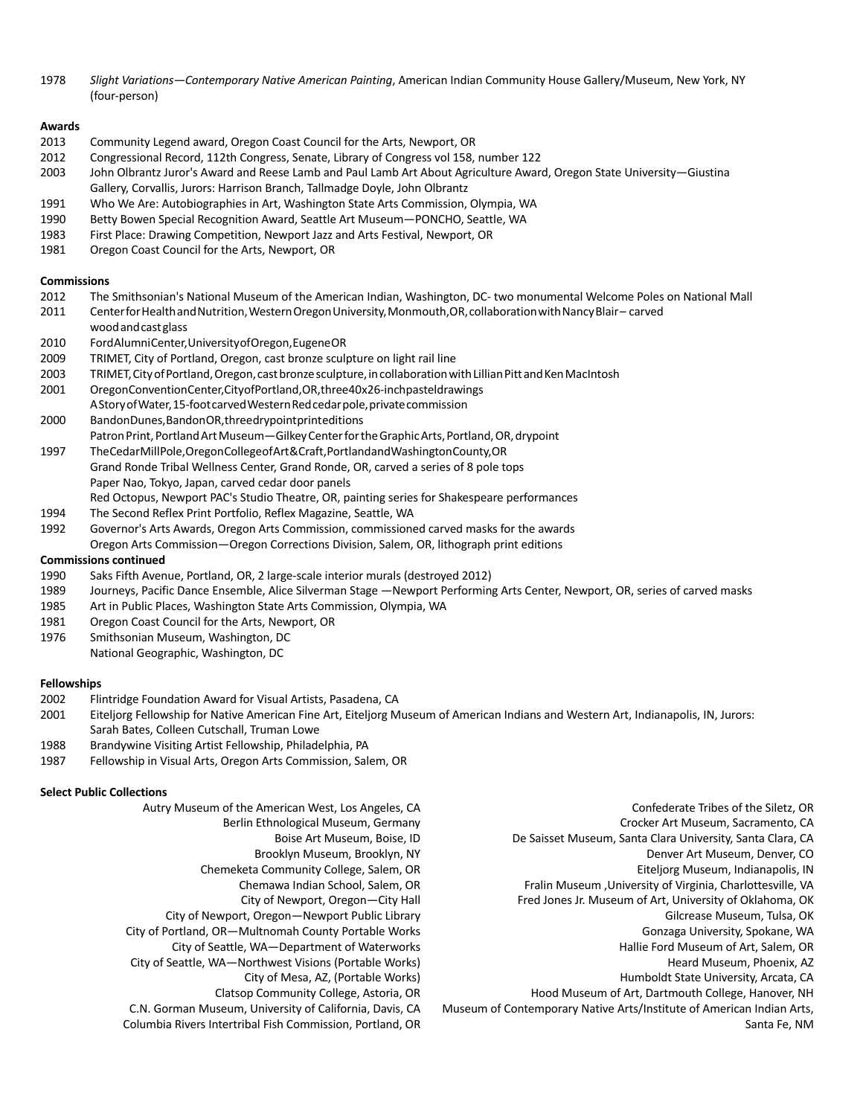1978 *Slight Variations—Contemporary Native American Painting*, American Indian Community House Gallery/Museum, New York, NY (four-person)

#### **Awards**

- 2013 Community Legend award, Oregon Coast Council for the Arts, Newport, OR
- 2012 Congressional Record, 112th Congress, Senate, Library of Congress vol 158, number 122
- 2003 John Olbrantz Juror's Award and Reese Lamb and Paul Lamb Art About Agriculture Award, Oregon State University—Giustina Gallery, Corvallis, Jurors: Harrison Branch, Tallmadge Doyle, John Olbrantz
- 1991 Who We Are: Autobiographies in Art, Washington State Arts Commission, Olympia, WA
- 1990 Betty Bowen Special Recognition Award, Seattle Art Museum—PONCHO, Seattle, WA
- 1983 First Place: Drawing Competition, Newport Jazz and Arts Festival, Newport, OR
- 1981 Oregon Coast Council for the Arts, Newport, OR

#### **Commissions**

- 2012 The Smithsonian's National Museum of the American Indian, Washington, DC- two monumental Welcome Poles on National Mall
- 2011 CenterforHealthandNutrition,WesternOregonUniversity,Monmouth,OR,collaborationwithNancyBlair– carved
- woodandcastglass
- 2010 FordAlumniCenter,UniversityofOregon,EugeneOR
- 2009 TRIMET, City of Portland, Oregon, cast bronze sculpture on light rail line
- 2003 TRIMET, City of Portland, Oregon, cast bronze sculpture, in collaboration with Lillian Pitt and Ken MacIntosh
- 2001 OregonConventionCenter,CityofPortland,OR,three40x26-inchpasteldrawings AStoryofWater,15-footcarvedWesternRedcedarpole,privatecommission
- 2000 BandonDunes,BandonOR,threedrypointprinteditions Patron Print, Portland Art Museum—Gilkey Center for the Graphic Arts, Portland, OR, drypoint
- 1997 TheCedarMillPole,OregonCollegeofArt&Craft,PortlandandWashingtonCounty,OR Grand Ronde Tribal Wellness Center, Grand Ronde, OR, carved a series of 8 pole tops Paper Nao, Tokyo, Japan, carved cedar door panels
	- Red Octopus, Newport PAC's Studio Theatre, OR, painting series for Shakespeare performances
- 1994 The Second Reflex Print Portfolio, Reflex Magazine, Seattle, WA
- 1992 Governor's Arts Awards, Oregon Arts Commission, commissioned carved masks for the awards Oregon Arts Commission—Oregon Corrections Division, Salem, OR, lithograph print editions

#### **Commissions continued**

- 1990 Saks Fifth Avenue, Portland, OR, 2 large-scale interior murals (destroyed 2012)
- 1989 Journeys, Pacific Dance Ensemble, Alice Silverman Stage —Newport Performing Arts Center, Newport, OR, series of carved masks
- 1985 Art in Public Places, Washington State Arts Commission, Olympia, WA
- 1981 Oregon Coast Council for the Arts, Newport, OR
- 1976 Smithsonian Museum, Washington, DC

National Geographic, Washington, DC

#### **Fellowships**

- 2002 Flintridge Foundation Award for Visual Artists, Pasadena, CA
- 2001 Eiteljorg Fellowship for Native American Fine Art, Eiteljorg Museum of American Indians and Western Art, Indianapolis, IN, Jurors: Sarah Bates, Colleen Cutschall, Truman Lowe
- 1988 Brandywine Visiting Artist Fellowship, Philadelphia, PA
- 1987 Fellowship in Visual Arts, Oregon Arts Commission, Salem, OR

#### **Select Public Collections**

- Autry Museum of the American West, Los Angeles, CA Berlin Ethnological Museum, Germany Boise Art Museum, Boise, ID Brooklyn Museum, Brooklyn, NY Chemeketa Community College, Salem, OR Chemawa Indian School, Salem, OR City of Newport, Oregon—City Hall City of Newport, Oregon—Newport Public Library City of Portland, OR—Multnomah County Portable Works City of Seattle, WA—Department of Waterworks City of Seattle, WA—Northwest Visions (Portable Works) City of Mesa, AZ, (Portable Works) Clatsop Community College, Astoria, OR C.N. Gorman Museum, University of California, Davis, CA
	- Columbia Rivers Intertribal Fish Commission, Portland, OR
- Confederate Tribes of the Siletz, OR
- Crocker Art Museum, Sacramento, CA
- De Saisset Museum, Santa Clara University, Santa Clara, CA
	- Denver Art Museum, Denver, CO
	- Eiteljorg Museum, Indianapolis, IN
	- Fralin Museum ,University of Virginia, Charlottesville, VA
	- Fred Jones Jr. Museum of Art, University of Oklahoma, OK
		- Gilcrease Museum, Tulsa, OK
		- Gonzaga University, Spokane, WA
		- Hallie Ford Museum of Art, Salem, OR Heard Museum, Phoenix, AZ
		- Humboldt State University, Arcata, CA
		-
- Hood Museum of Art, Dartmouth College, Hanover, NH Museum of Contemporary Native Arts/Institute of American Indian Arts,
	- Santa Fe, NM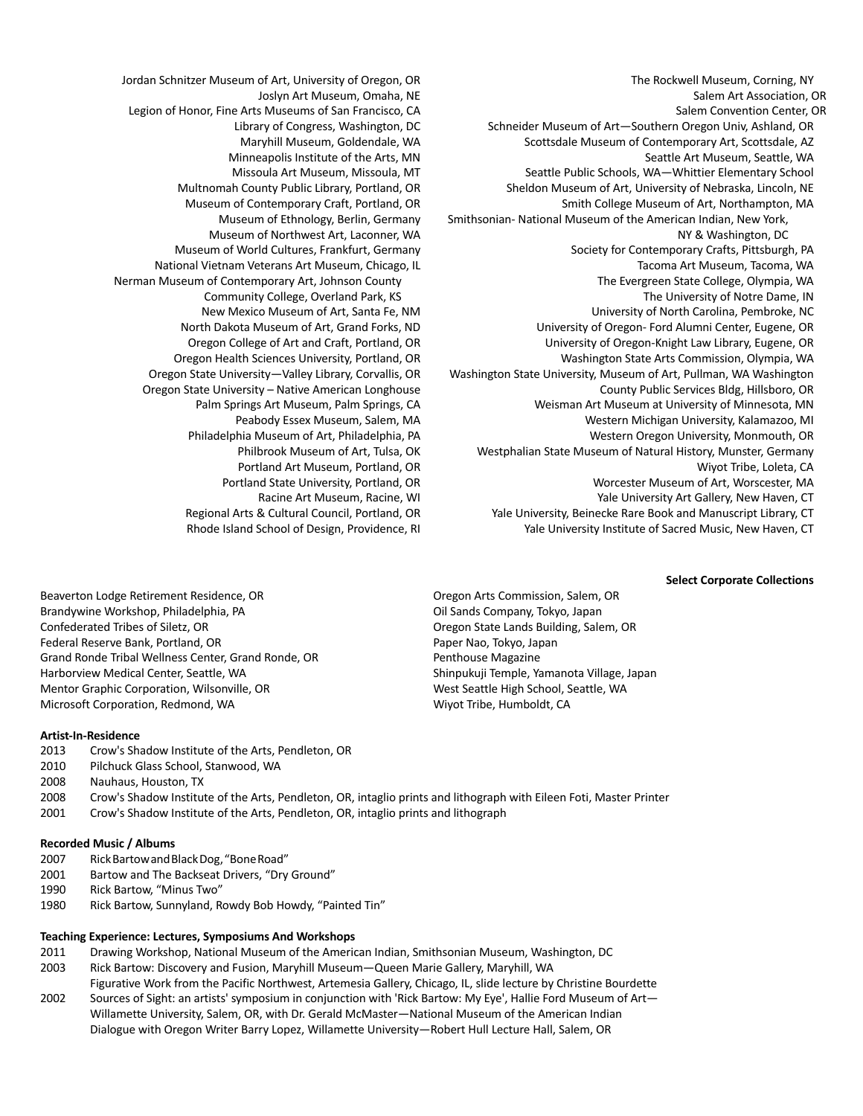Jordan Schnitzer Museum of Art, University of Oregon, OR Joslyn Art Museum, Omaha, NE Legion of Honor, Fine Arts Museums of San Francisco, CA Library of Congress, Washington, DC Maryhill Museum, Goldendale, WA Minneapolis Institute of the Arts, MN Missoula Art Museum, Missoula, MT Multnomah County Public Library, Portland, OR Museum of Contemporary Craft, Portland, OR Museum of Ethnology, Berlin, Germany Museum of Northwest Art, Laconner, WA Museum of World Cultures, Frankfurt, Germany National Vietnam Veterans Art Museum, Chicago, IL Nerman Museum of Contemporary Art, Johnson County Community College, Overland Park, KS New Mexico Museum of Art, Santa Fe, NM North Dakota Museum of Art, Grand Forks, ND Oregon College of Art and Craft, Portland, OR Oregon Health Sciences University, Portland, OR Oregon State University—Valley Library, Corvallis, OR Oregon State University – Native American Longhouse Palm Springs Art Museum, Palm Springs, CA Peabody Essex Museum, Salem, MA Philadelphia Museum of Art, Philadelphia, PA Philbrook Museum of Art, Tulsa, OK Portland Art Museum, Portland, OR Portland State University, Portland, OR Racine Art Museum, Racine, WI Regional Arts & Cultural Council, Portland, OR Rhode Island School of Design, Providence, RI

The Rockwell Museum, Corning, NY Salem Art Association, OR Salem Convention Center, OR Schneider Museum of Art—Southern Oregon Univ, Ashland, OR Scottsdale Museum of Contemporary Art, Scottsdale, AZ Seattle Art Museum, Seattle, WA Seattle Public Schools, WA—Whittier Elementary School Sheldon Museum of Art, University of Nebraska, Lincoln, NE Smith College Museum of Art, Northampton, MA Smithsonian- National Museum of the American Indian, New York, NY & Washington, DC Society for Contemporary Crafts, Pittsburgh, PA Tacoma Art Museum, Tacoma, WA The Evergreen State College, Olympia, WA The University of Notre Dame, IN University of North Carolina, Pembroke, NC University of Oregon- Ford Alumni Center, Eugene, OR University of Oregon-Knight Law Library, Eugene, OR Washington State Arts Commission, Olympia, WA Washington State University, Museum of Art, Pullman, WA Washington County Public Services Bldg, Hillsboro, OR Weisman Art Museum at University of Minnesota, MN Western Michigan University, Kalamazoo, MI Western Oregon University, Monmouth, OR Westphalian State Museum of Natural History, Munster, Germany Wiyot Tribe, Loleta, CA Worcester Museum of Art, Worscester, MA Yale University Art Gallery, New Haven, CT Yale University, Beinecke Rare Book and Manuscript Library, CT Yale University Institute of Sacred Music, New Haven, CT

#### **Select Corporate Collections**

Beaverton Lodge Retirement Residence, OR Brandywine Workshop, Philadelphia, PA Confederated Tribes of Siletz, OR Federal Reserve Bank, Portland, OR Grand Ronde Tribal Wellness Center, Grand Ronde, OR Harborview Medical Center, Seattle, WA Mentor Graphic Corporation, Wilsonville, OR Microsoft Corporation, Redmond, WA

Oregon Arts Commission, Salem, OR Oil Sands Company, Tokyo, Japan Oregon State Lands Building, Salem, OR Paper Nao, Tokyo, Japan Penthouse Magazine Shinpukuji Temple, Yamanota Village, Japan West Seattle High School, Seattle, WA Wiyot Tribe, Humboldt, CA

#### **Artist-In-Residence**

- 2013 Crow's Shadow Institute of the Arts, Pendleton, OR
- 2010 Pilchuck Glass School, Stanwood, WA
- 2008 Nauhaus, Houston, TX
- 2008 Crow's Shadow Institute of the Arts, Pendleton, OR, intaglio prints and lithograph with Eileen Foti, Master Printer
- 2001 Crow's Shadow Institute of the Arts, Pendleton, OR, intaglio prints and lithograph

#### **Recorded Music / Albums**

- 2007 RickBartowandBlackDog,"BoneRoad"
- 2001 Bartow and The Backseat Drivers, "Dry Ground"
- 1990 Rick Bartow, "Minus Two"
- 1980 Rick Bartow, Sunnyland, Rowdy Bob Howdy, "Painted Tin"

### **Teaching Experience: Lectures, Symposiums And Workshops**

- 2011 Drawing Workshop, National Museum of the American Indian, Smithsonian Museum, Washington, DC
- 2003 Rick Bartow: Discovery and Fusion, Maryhill Museum—Queen Marie Gallery, Maryhill, WA
- Figurative Work from the Pacific Northwest, Artemesia Gallery, Chicago, IL, slide lecture by Christine Bourdette 2002 Sources of Sight: an artists' symposium in conjunction with 'Rick Bartow: My Eye', Hallie Ford Museum of Art—
- Willamette University, Salem, OR, with Dr. Gerald McMaster—National Museum of the American Indian Dialogue with Oregon Writer Barry Lopez, Willamette University—Robert Hull Lecture Hall, Salem, OR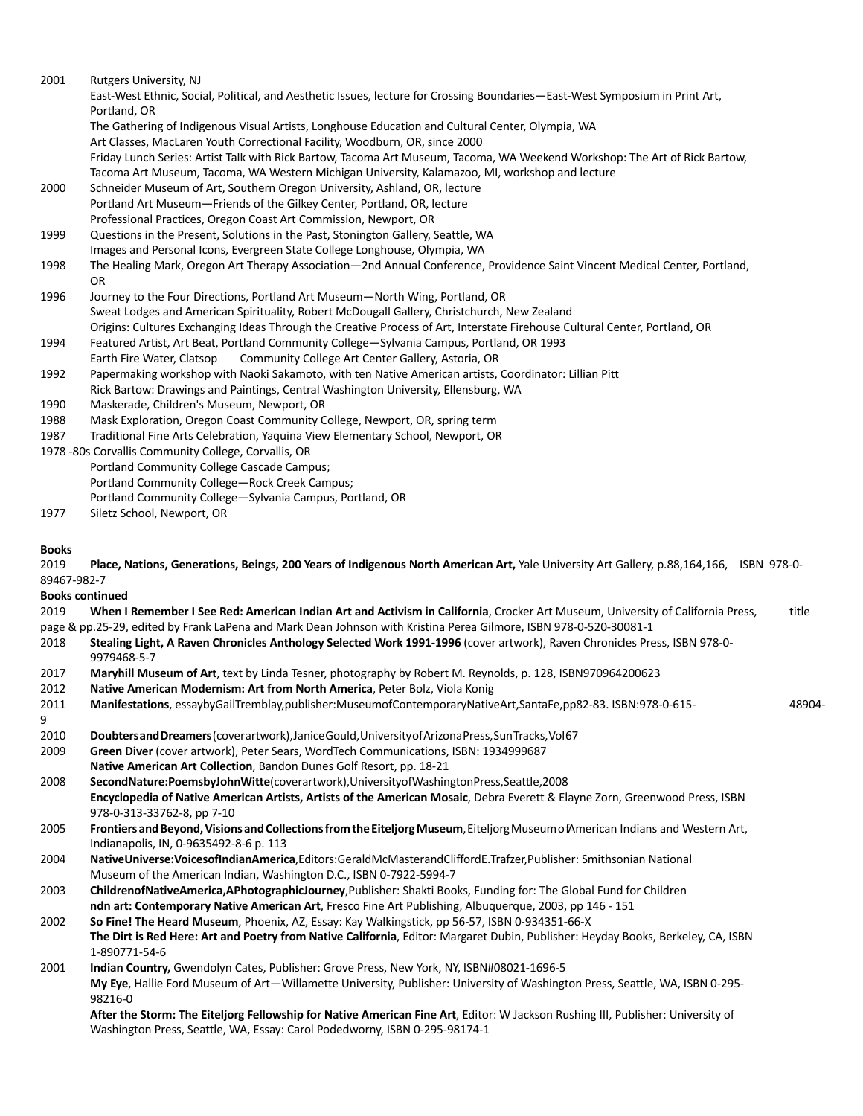2001 Rutgers University, NJ East-West Ethnic, Social, Political, and Aesthetic Issues, lecture for Crossing Boundaries—East-West Symposium in Print Art, Portland, OR The Gathering of Indigenous Visual Artists, Longhouse Education and Cultural Center, Olympia, WA Art Classes, MacLaren Youth Correctional Facility, Woodburn, OR, since 2000 Friday Lunch Series: Artist Talk with Rick Bartow, Tacoma Art Museum, Tacoma, WA Weekend Workshop: The Art of Rick Bartow, Tacoma Art Museum, Tacoma, WA Western Michigan University, Kalamazoo, MI, workshop and lecture 2000 Schneider Museum of Art, Southern Oregon University, Ashland, OR, lecture Portland Art Museum—Friends of the Gilkey Center, Portland, OR, lecture Professional Practices, Oregon Coast Art Commission, Newport, OR 1999 Questions in the Present, Solutions in the Past, Stonington Gallery, Seattle, WA Images and Personal Icons, Evergreen State College Longhouse, Olympia, WA 1998 The Healing Mark, Oregon Art Therapy Association—2nd Annual Conference, Providence Saint Vincent Medical Center, Portland, OR 1996 Journey to the Four Directions, Portland Art Museum—North Wing, Portland, OR Sweat Lodges and American Spirituality, Robert McDougall Gallery, Christchurch, New Zealand Origins: Cultures Exchanging Ideas Through the Creative Process of Art, Interstate Firehouse Cultural Center, Portland, OR 1994 Featured Artist, Art Beat, Portland Community College—Sylvania Campus, Portland, OR 1993 Earth Fire Water, Clatsop Community College Art Center Gallery, Astoria, OR 1992 Papermaking workshop with Naoki Sakamoto, with ten Native American artists, Coordinator: Lillian Pitt Rick Bartow: Drawings and Paintings, Central Washington University, Ellensburg, WA 1990 Maskerade, Children's Museum, Newport, OR 1988 Mask Exploration, Oregon Coast Community College, Newport, OR, spring term 1987 Traditional Fine Arts Celebration, Yaquina View Elementary School, Newport, OR 1978 -80s Corvallis Community College, Corvallis, OR Portland Community College Cascade Campus; Portland Community College—Rock Creek Campus; Portland Community College—Sylvania Campus, Portland, OR 1977 Siletz School, Newport, OR **Books** 2019 **Place, Nations, Generations, Beings, 200 Years of Indigenous North American Art,** Yale University Art Gallery, p.88,164,166, ISBN 978-0- 89467-982-7 **Books continued** 2019 **When I Remember I See Red: American Indian Art and Activism in California**, Crocker Art Museum, University of California Press, title page & pp.25-29, edited by Frank LaPena and Mark Dean Johnson with Kristina Perea Gilmore, ISBN 978-0-520-30081-1 2018 **Stealing Light, A Raven Chronicles Anthology Selected Work 1991-1996** (cover artwork), Raven Chronicles Press, ISBN 978-0- 9979468-5-7 2017 **Maryhill Museum of Art**, text by Linda Tesner, photography by Robert M. Reynolds, p. 128, ISBN970964200623 2012 **Native American Modernism: Art from North America**, Peter Bolz, Viola Konig 2011 **Manifestations**, essaybyGailTremblay,publisher:MuseumofContemporaryNativeArt,SantaFe,pp82-83. ISBN:978-0-615- 48904- 9 2010 **DoubtersandDreamers**(coverartwork),JaniceGould,UniversityofArizonaPress,SunTracks,Vol67 2009 **Green Diver** (cover artwork), Peter Sears, WordTech Communications, ISBN: 1934999687 **Native American Art Collection**, Bandon Dunes Golf Resort, pp. 18-21 2008 **SecondNature:PoemsbyJohnWitte**(coverartwork),UniversityofWashingtonPress,Seattle,2008 **Encyclopedia of Native American Artists, Artists of the American Mosaic**, Debra Everett & Elayne Zorn, Greenwood Press, ISBN 978-0-313-33762-8, pp 7-10 2005 **Frontiers andBeyond,Visions andCollectionsfromtheEiteljorgMuseum**,EiteljorgMuseumofAmerican Indians and Western Art, Indianapolis, IN, 0-9635492-8-6 p. 113 2004 **NativeUniverse:VoicesofIndianAmerica**,Editors:GeraldMcMasterandCliffordE.Trafzer,Publisher: Smithsonian National Museum of the American Indian, Washington D.C., ISBN 0-7922-5994-7 2003 **ChildrenofNativeAmerica,APhotographicJourney**,Publisher: Shakti Books, Funding for: The Global Fund for Children **ndn art: Contemporary Native American Art**, Fresco Fine Art Publishing, Albuquerque, 2003, pp 146 - 151 2002 **So Fine! The Heard Museum**, Phoenix, AZ, Essay: Kay Walkingstick, pp 56-57, ISBN 0-934351-66-X **The Dirt is Red Here: Art and Poetry from Native California**, Editor: Margaret Dubin, Publisher: Heyday Books, Berkeley, CA, ISBN 1-890771-54-6 2001 **Indian Country,** Gwendolyn Cates, Publisher: Grove Press, New York, NY, ISBN#08021-1696-5 **My Eye**, Hallie Ford Museum of Art—Willamette University, Publisher: University of Washington Press, Seattle, WA, ISBN 0-295- 98216-0 **After the Storm: The Eiteljorg Fellowship for Native American Fine Art**, Editor: W Jackson Rushing III, Publisher: University of Washington Press, Seattle, WA, Essay: Carol Podedworny, ISBN 0-295-98174-1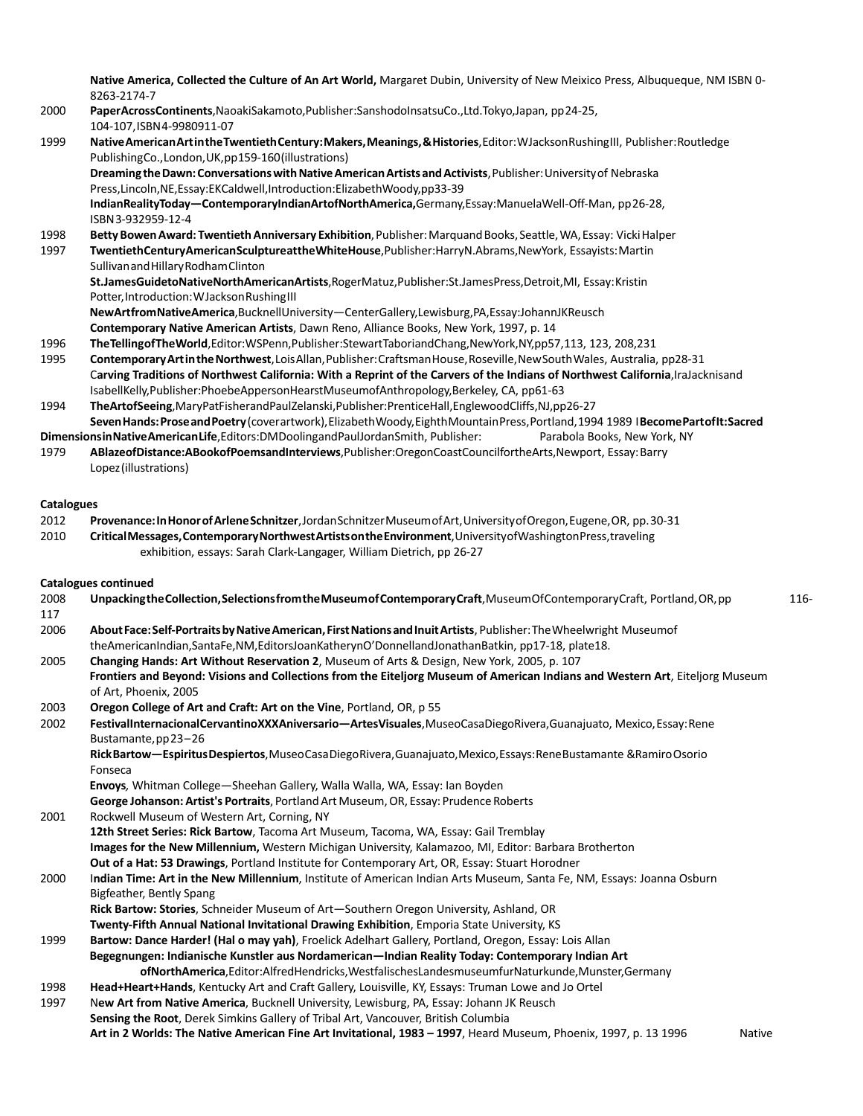**Native America, Collected the Culture of An Art World,** Margaret Dubin, University of New Meixico Press, Albuqueque, NM ISBN 0- 8263-2174-7

- 2000 **PaperAcrossContinents**,NaoakiSakamoto,Publisher:SanshodoInsatsuCo.,Ltd.Tokyo,Japan, pp24-25, 104-107,ISBN4-9980911-07
- 1999 **NativeAmericanArtintheTwentiethCentury:Makers,Meanings,&Histories**,Editor:WJacksonRushingIII, Publisher:Routledge PublishingCo.,London,UK,pp159-160(illustrations)

**DreamingtheDawn:ConversationswithNativeAmericanArtistsandActivists**,Publisher:Universityof Nebraska Press,Lincoln,NE,Essay:EKCaldwell,Introduction:ElizabethWoody,pp33-39

**IndianRealityToday—ContemporaryIndianArtofNorthAmerica,**Germany,Essay:ManuelaWell-Off-Man, pp26-28, ISBN3-932959-12-4

1998 **BettyBowenAward: TwentiethAnniversary Exhibition**,Publisher:MarquandBooks,Seattle,WA,Essay: VickiHalper

1997 **TwentiethCenturyAmericanSculptureattheWhiteHouse**,Publisher:HarryN.Abrams,NewYork, Essayists:Martin SullivanandHillaryRodhamClinton

**St.JamesGuidetoNativeNorthAmericanArtists**,RogerMatuz,Publisher:St.JamesPress,Detroit,MI, Essay:Kristin Potter, Introduction: WJackson Rushing III

**NewArtfromNativeAmerica**,BucknellUniversity—CenterGallery,Lewisburg,PA,Essay:JohannJKReusch

**Contemporary Native American Artists**, Dawn Reno, Alliance Books, New York, 1997, p. 14

```
1996 TheTellingofTheWorld,Editor:WSPenn,Publisher:StewartTaboriandChang,NewYork,NY,pp57,113, 123, 208,231
```
1995 **ContemporaryArtintheNorthwest**,LoisAllan,Publisher:CraftsmanHouse,Roseville,NewSouthWales, Australia, pp28-31 C**arving Traditions of Northwest California: With a Reprint of the Carvers of the Indians of Northwest California**,IraJacknisand IsabellKelly,Publisher:PhoebeAppersonHearstMuseumofAnthropology,Berkeley, CA, pp61-63

1994 **TheArtofSeeing**,MaryPatFisherandPaulZelanski,Publisher:PrenticeHall,EnglewoodCliffs,NJ,pp26-27 **SevenHands:ProseandPoetry**(coverartwork),ElizabethWoody,EighthMountainPress,Portland,1994 1989 I**BecomePartofIt:Sacred**

**DimensionsinNativeAmericanLife**,Editors:DMDoolingandPaulJordanSmith, Publisher: Parabola Books, New York, NY

1979 **ABlazeofDistance:ABookofPoemsandInterviews**,Publisher:OregonCoastCouncilfortheArts,Newport, Essay:Barry Lopez(illustrations)

#### **Catalogues**

- 2012 **Provenance:InHonorofArleneSchnitzer**,JordanSchnitzerMuseumofArt,UniversityofOregon,Eugene,OR, pp.30-31
- 2010 **CriticalMessages,ContemporaryNorthwestArtistsontheEnvironment**,UniversityofWashingtonPress,traveling exhibition, essays: Sarah Clark-Langager, William Dietrich, pp 26-27

#### **Catalogues continued**

| 2008<br>117 | Unpacking the Collection, Selections from the Museum of Contemporary Craft, Museum Of Contemporary Craft, Portland, OR, pp                                                                                           | 116- |
|-------------|----------------------------------------------------------------------------------------------------------------------------------------------------------------------------------------------------------------------|------|
| 2006        | About Face: Self-Portraits by Native American, First Nations and Inuit Artists, Publisher: The Wheelwright Museumof<br>theAmericanIndian,SantaFe,NM,EditorsJoanKatherynO'DonnellandJonathanBatkin, pp17-18, plate18. |      |
| 2005        | Changing Hands: Art Without Reservation 2, Museum of Arts & Design, New York, 2005, p. 107                                                                                                                           |      |
|             | Frontiers and Beyond: Visions and Collections from the Eiteljorg Museum of American Indians and Western Art, Eiteljorg Museum<br>of Art. Phoenix. 2005                                                               |      |
| 2003        | Oregon College of Art and Craft: Art on the Vine, Portland, OR, p 55                                                                                                                                                 |      |
| 2002        | FestivalInternacionalCervantinoXXXAniversario-ArtesVisuales, MuseoCasaDiegoRivera, Guanajuato, Mexico, Essay: Rene<br>Bustamante, pp 23-26                                                                           |      |
|             | Rick Bartow—Espiritus Despiertos, Museo Casa Diego Rivera, Guanajuato, Mexico, Essays: Rene Bustamante & Ramiro Osorio<br>Fonseca                                                                                    |      |
|             | Envoys, Whitman College-Sheehan Gallery, Walla Walla, WA, Essay: Ian Boyden                                                                                                                                          |      |
|             | George Johanson: Artist's Portraits, Portland Art Museum, OR, Essay: Prudence Roberts                                                                                                                                |      |
| 2001        | Rockwell Museum of Western Art, Corning, NY                                                                                                                                                                          |      |
|             | 12th Street Series: Rick Bartow, Tacoma Art Museum, Tacoma, WA, Essay: Gail Tremblay                                                                                                                                 |      |
|             | Images for the New Millennium, Western Michigan University, Kalamazoo, MI, Editor: Barbara Brotherton                                                                                                                |      |
|             | Out of a Hat: 53 Drawings, Portland Institute for Contemporary Art, OR, Essay: Stuart Horodner                                                                                                                       |      |
| 2000        | Indian Time: Art in the New Millennium, Institute of American Indian Arts Museum, Santa Fe, NM, Essays: Joanna Osburn                                                                                                |      |
|             | Bigfeather, Bently Spang                                                                                                                                                                                             |      |
|             | Rick Bartow: Stories, Schneider Museum of Art-Southern Oregon University, Ashland, OR                                                                                                                                |      |
|             | Twenty-Fifth Annual National Invitational Drawing Exhibition, Emporia State University, KS                                                                                                                           |      |
| 1999        | Bartow: Dance Harder! (Hal o may yah), Froelick Adelhart Gallery, Portland, Oregon, Essay: Lois Allan                                                                                                                |      |
|             | Begegnungen: Indianische Kunstler aus Nordamerican-Indian Reality Today: Contemporary Indian Art                                                                                                                     |      |
|             | of NorthAmerica, Editor: Alfred Hendricks, Westfalisches Landes museum fur Naturkunde, Munster, Germany                                                                                                              |      |
| 1998        | Head+Heart+Hands, Kentucky Art and Craft Gallery, Louisville, KY, Essays: Truman Lowe and Jo Ortel                                                                                                                   |      |
| 1997        | New Art from Native America, Bucknell University, Lewisburg, PA, Essay: Johann JK Reusch                                                                                                                             |      |
|             | Sensing the Root, Derek Simkins Gallery of Tribal Art, Vancouver, British Columbia                                                                                                                                   |      |
|             | Art in 2 Worlds: The Native American Fine Art Invitational, 1983 - 1997, Heard Museum, Phoenix, 1997, p. 13 1996<br><b>Native</b>                                                                                    |      |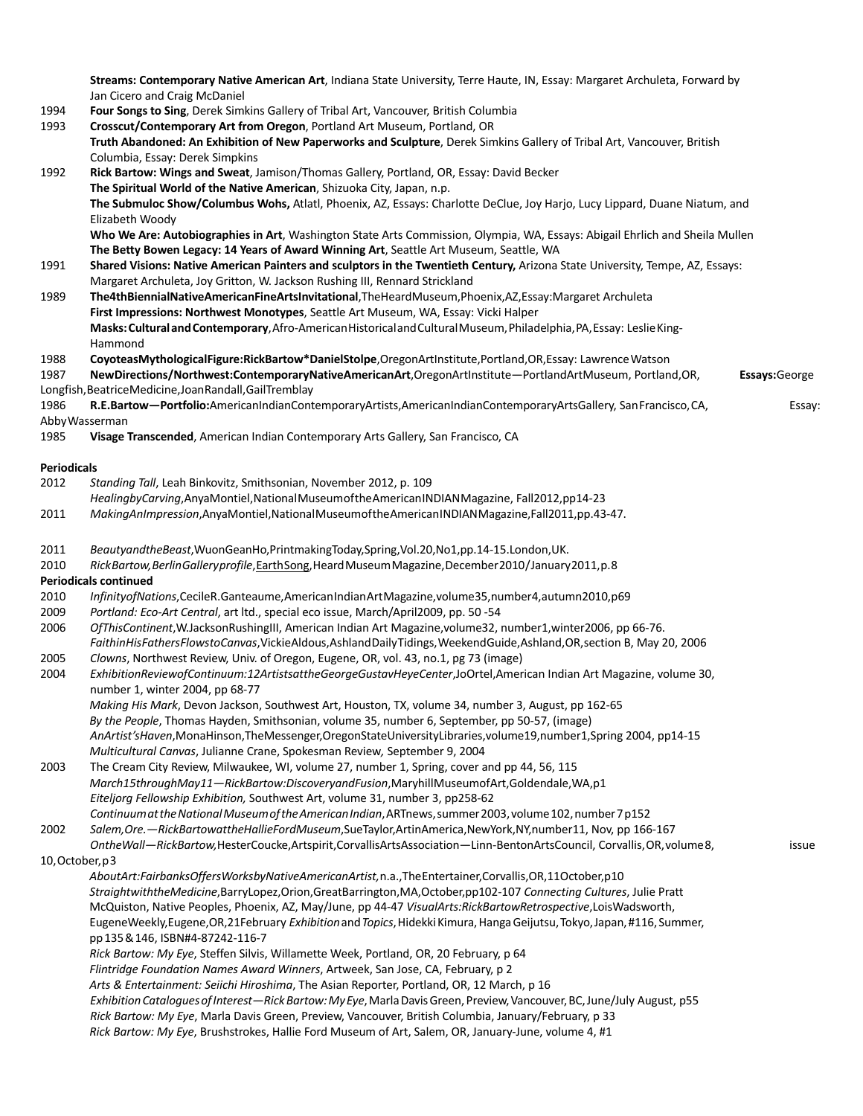**Streams: Contemporary Native American Art**, Indiana State University, Terre Haute, IN, Essay: Margaret Archuleta, Forward by Jan Cicero and Craig McDaniel

- 1994 **Four Songs to Sing**, Derek Simkins Gallery of Tribal Art, Vancouver, British Columbia
- 1993 **Crosscut/Contemporary Art from Oregon**, Portland Art Museum, Portland, OR **Truth Abandoned: An Exhibition of New Paperworks and Sculpture**, Derek Simkins Gallery of Tribal Art, Vancouver, British Columbia, Essay: Derek Simpkins 1992 **Rick Bartow: Wings and Sweat**, Jamison/Thomas Gallery, Portland, OR, Essay: David Becker **The Spiritual World of the Native American**, Shizuoka City, Japan, n.p. **The Submuloc Show/Columbus Wohs,** Atlatl, Phoenix, AZ, Essays: Charlotte DeClue, Joy Harjo, Lucy Lippard, Duane Niatum, and Elizabeth Woody **Who We Are: Autobiographies in Art**, Washington State Arts Commission, Olympia, WA, Essays: Abigail Ehrlich and Sheila Mullen **The Betty Bowen Legacy: 14 Years of Award Winning Art**, Seattle Art Museum, Seattle, WA 1991 **Shared Visions: Native American Painters and sculptors in the Twentieth Century,** Arizona State University, Tempe, AZ, Essays: Margaret Archuleta, Joy Gritton, W. Jackson Rushing III, Rennard Strickland 1989 **The4thBiennialNativeAmericanFineArtsInvitational**,TheHeardMuseum,Phoenix,AZ,Essay:Margaret Archuleta **First Impressions: Northwest Monotypes**, Seattle Art Museum, WA, Essay: Vicki Halper **Masks:CulturalandContemporary**,Afro-AmericanHistoricalandCulturalMuseum,Philadelphia,PA,Essay: LeslieKing-Hammond 1988 **CoyoteasMythologicalFigure:RickBartow\*DanielStolpe**,OregonArtInstitute,Portland,OR,Essay: LawrenceWatson 1987 **NewDirections/Northwest:ContemporaryNativeAmericanArt**,OregonArtInstitute—PortlandArtMuseum, Portland,OR, **Essays:**George Longfish,BeatriceMedicine,JoanRandall,GailTremblay 1986 **R.E.Bartow—Portfolio:**AmericanIndianContemporaryArtists,AmericanIndianContemporaryArtsGallery, SanFrancisco,CA, Essay: AbbyWasserman 1985 **Visage Transcended**, American Indian Contemporary Arts Gallery, San Francisco, CA **Periodicals** 2012 *Standing Tall*, Leah Binkovitz, Smithsonian, November 2012, p. 109 *HealingbyCarving*,AnyaMontiel,NationalMuseumoftheAmericanINDIANMagazine, Fall2012,pp14-23 2011 *MakingAnImpression*,AnyaMontiel,NationalMuseumoftheAmericanINDIANMagazine,Fall2011,pp.43-47. 2011 *BeautyandtheBeast*,WuonGeanHo,PrintmakingToday,Spring,Vol.20,No1,pp.14-15.London,UK. 2010 *RickBartow,BerlinGalleryprofile*,EarthSong,HeardMuseumMagazine,December2010/January2011,p.8 **Periodicals continued** 2010 *InfinityofNations*,CecileR.Ganteaume,AmericanIndianArtMagazine,volume35,number4,autumn2010,p69 2009 *Portland: Eco-Art Central*, art ltd., special eco issue, March/April2009, pp. 50 -54
- -
	- 2006 *OfThisContinent*,W.JacksonRushingIII, American Indian Art Magazine,volume32, number1,winter2006, pp 66-76. *FaithinHisFathersFlowstoCanvas*,VickieAldous,AshlandDailyTidings,WeekendGuide,Ashland,OR,section B, May 20, 2006
	- 2005 *Clowns*, Northwest Review, Univ. of Oregon, Eugene, OR, vol. 43, no.1, pg 73 (image)
	- 2004 *ExhibitionReviewofContinuum:12ArtistsattheGeorgeGustavHeyeCenter*,JoOrtel,American Indian Art Magazine, volume 30, number 1, winter 2004, pp 68-77
		- *Making His Mark*, Devon Jackson, Southwest Art, Houston, TX, volume 34, number 3, August, pp 162-65 *By the People*, Thomas Hayden, Smithsonian, volume 35, number 6, September, pp 50-57, (image) *AnArtist'sHaven*,MonaHinson,TheMessenger,OregonStateUniversityLibraries,volume19,number1,Spring 2004, pp14-15 *Multicultural Canvas*, Julianne Crane, Spokesman Review*,* September 9, 2004
	- 2003 The Cream City Review, Milwaukee, WI, volume 27, number 1, Spring, cover and pp 44, 56, 115 *March15throughMay11—RickBartow:DiscoveryandFusion*,MaryhillMuseumofArt,Goldendale,WA,p1 *Eiteljorg Fellowship Exhibition,* Southwest Art, volume 31, number 3, pp258-62 *ContinuumattheNationalMuseumoftheAmericanIndian*,ARTnews,summer2003,volume102,number7p152
	- 2002 *Salem,Ore.—RickBartowattheHallieFordMuseum*,SueTaylor,ArtinAmerica,NewYork,NY,number11, Nov, pp 166-167
	- *OntheWall—RickBartow,*HesterCoucke,Artspirit,CorvallisArtsAssociation—Linn-BentonArtsCouncil, Corvallis,OR,volume8, issue 10,October,p3
	- *AboutArt:FairbanksOffersWorksbyNativeAmericanArtist,*n.a.,TheEntertainer,Corvallis,OR,11October,p10
		- *StraightwiththeMedicine*,BarryLopez,Orion,GreatBarrington,MA,October,pp102-107 *Connecting Cultures*, Julie Pratt McQuiston, Native Peoples, Phoenix, AZ, May/June, pp 44-47 *VisualArts:RickBartowRetrospective*,LoisWadsworth, EugeneWeekly,Eugene,OR,21February *Exhibition*and*Topics*,HidekkiKimura,HangaGeijutsu,Tokyo,Japan,#116,Summer, pp135&146, ISBN#4-87242-116-7
		- *Rick Bartow: My Eye*, Steffen Silvis, Willamette Week, Portland, OR, 20 February, p 64
		- *Flintridge Foundation Names Award Winners*, Artweek, San Jose, CA, February, p 2
		- *Arts & Entertainment: Seiichi Hiroshima*, The Asian Reporter, Portland, OR, 12 March, p 16
		- *ExhibitionCataloguesofInterest—RickBartow:MyEye*,MarlaDavisGreen, Preview,Vancouver,BC,June/July August, p55
		- *Rick Bartow: My Eye*, Marla Davis Green, Preview, Vancouver, British Columbia, January/February, p 33 *Rick Bartow: My Eye*, Brushstrokes, Hallie Ford Museum of Art, Salem, OR, January-June, volume 4, #1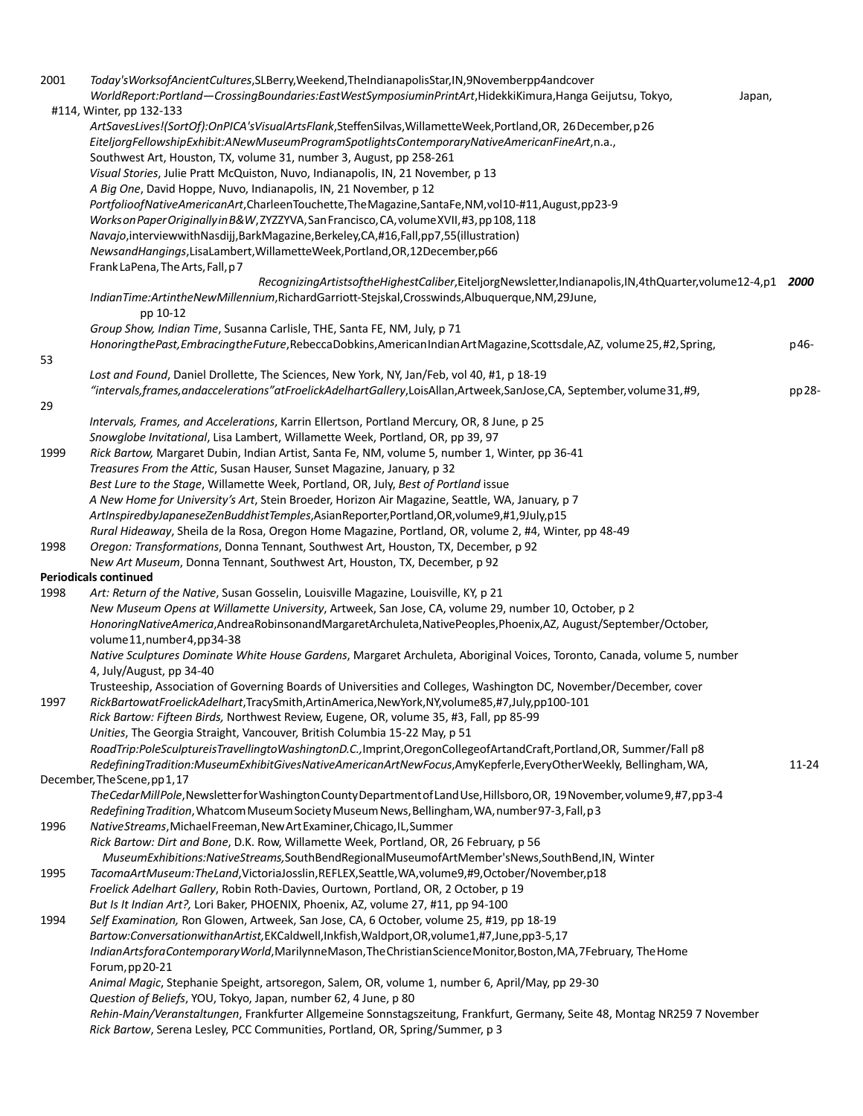| 2001 | Today'sWorksofAncientCultures,SLBerry,Weekend,TheIndianapolisStar,IN,9Novemberpp4andcover<br>WorldReport:Portland-CrossingBoundaries:EastWestSymposiuminPrintArt,HidekkiKimura,Hanga Geijutsu, Tokyo,<br>Japan,<br>#114, Winter, pp 132-133                                        |           |
|------|------------------------------------------------------------------------------------------------------------------------------------------------------------------------------------------------------------------------------------------------------------------------------------|-----------|
|      | ArtSavesLives!(SortOf):OnPICA'sVisualArtsFlank,SteffenSilvas,WillametteWeek,Portland,OR, 26 December, p 26<br>EiteljorgFellowshipExhibit:ANewMuseumProgramSpotlightsContemporaryNativeAmericanFineArt,n.a.,<br>Southwest Art, Houston, TX, volume 31, number 3, August, pp 258-261 |           |
|      | Visual Stories, Julie Pratt McQuiston, Nuvo, Indianapolis, IN, 21 November, p 13<br>A Big One, David Hoppe, Nuvo, Indianapolis, IN, 21 November, p 12                                                                                                                              |           |
|      | PortfolioofNativeAmericanArt,CharleenTouchette,TheMagazine,SantaFe,NM,vol10-#11,August,pp23-9<br>Works on Paper Originally in B&W, ZYZZYVA, San Francisco, CA, volume XVII, #3, pp 108, 118                                                                                        |           |
|      | Navajo, interviewwith Nasdijj, BarkMagazine, Berkeley, CA, #16, Fall, pp7, 55(illustration)<br>NewsandHangings, LisaLambert, WillametteWeek, Portland, OR, 12December, p66<br>Frank LaPena, The Arts, Fall, p7                                                                     |           |
|      | RecognizingArtistsoftheHighestCaliber,EiteljorgNewsletter,Indianapolis,IN,4thQuarter,volume12-4,p1 2000<br>IndianTime:ArtintheNewMillennium,RichardGarriott-Stejskal,Crosswinds,Albuquerque,NM,29June,<br>pp 10-12                                                                 |           |
| 53   | Group Show, Indian Time, Susanna Carlisle, THE, Santa FE, NM, July, p 71<br>HonoringthePast, EmbracingtheFuture, RebeccaDobkins, AmericanIndian Art Magazine, Scottsdale, AZ, volume 25, #2, Spring,                                                                               | p46-      |
|      | Lost and Found, Daniel Drollette, The Sciences, New York, NY, Jan/Feb, vol 40, #1, p 18-19<br>"intervals, frames, andaccelerations" atFroelickAdelhartGallery, LoisAllan, Artweek, SanJose, CA, September, volume 31, #9,                                                          | pp 28-    |
| 29   |                                                                                                                                                                                                                                                                                    |           |
| 1999 | Intervals, Frames, and Accelerations, Karrin Ellertson, Portland Mercury, OR, 8 June, p 25<br>Snowglobe Invitational, Lisa Lambert, Willamette Week, Portland, OR, pp 39, 97<br>Rick Bartow, Margaret Dubin, Indian Artist, Santa Fe, NM, volume 5, number 1, Winter, pp 36-41     |           |
|      | Treasures From the Attic, Susan Hauser, Sunset Magazine, January, p 32                                                                                                                                                                                                             |           |
|      | Best Lure to the Stage, Willamette Week, Portland, OR, July, Best of Portland issue                                                                                                                                                                                                |           |
|      | A New Home for University's Art, Stein Broeder, Horizon Air Magazine, Seattle, WA, January, p 7                                                                                                                                                                                    |           |
|      | ArtInspiredbyJapaneseZenBuddhistTemples,AsianReporter,Portland,OR,volume9,#1,9July,p15                                                                                                                                                                                             |           |
|      | Rural Hideaway, Sheila de la Rosa, Oregon Home Magazine, Portland, OR, volume 2, #4, Winter, pp 48-49                                                                                                                                                                              |           |
| 1998 | Oregon: Transformations, Donna Tennant, Southwest Art, Houston, TX, December, p 92                                                                                                                                                                                                 |           |
|      | New Art Museum, Donna Tennant, Southwest Art, Houston, TX, December, p 92                                                                                                                                                                                                          |           |
| 1998 | <b>Periodicals continued</b>                                                                                                                                                                                                                                                       |           |
|      | Art: Return of the Native, Susan Gosselin, Louisville Magazine, Louisville, KY, p 21<br>New Museum Opens at Willamette University, Artweek, San Jose, CA, volume 29, number 10, October, p 2                                                                                       |           |
|      | HonoringNativeAmerica,AndreaRobinsonandMargaretArchuleta,NativePeoples,Phoenix,AZ, August/September/October,<br>volume11, number4, pp34-38                                                                                                                                         |           |
|      | Native Sculptures Dominate White House Gardens, Margaret Archuleta, Aboriginal Voices, Toronto, Canada, volume 5, number<br>4, July/August, pp 34-40                                                                                                                               |           |
| 1997 | Trusteeship, Association of Governing Boards of Universities and Colleges, Washington DC, November/December, cover<br>RickBartowatFroelickAdelhart,TracySmith,ArtinAmerica,NewYork,NY,volume85,#7,July,pp100-101                                                                   |           |
|      | Rick Bartow: Fifteen Birds, Northwest Review, Eugene, OR, volume 35, #3, Fall, pp 85-99                                                                                                                                                                                            |           |
|      | Unities, The Georgia Straight, Vancouver, British Columbia 15-22 May, p 51<br>RoadTrip:PoleSculptureisTravellingtoWashingtonD.C.,Imprint,OregonCollegeofArtandCraft,Portland,OR, Summer/Fall p8                                                                                    |           |
|      | RedefiningTradition:MuseumExhibitGivesNativeAmericanArtNewFocus,AmyKepferle,EveryOtherWeekly, Bellingham, WA,<br>December, The Scene, pp 1, 17                                                                                                                                     | $11 - 24$ |
|      | The Cedar MillPole, Newsletter for Washington County Department of Land Use, Hillsboro, OR, 19 November, volume 9, #7, pp 3-4                                                                                                                                                      |           |
| 1996 | Redefining Tradition, Whatcom Museum Society Museum News, Bellingham, WA, number 97-3, Fall, p3<br>NativeStreams, Michael Freeman, New Art Examiner, Chicago, IL, Summer                                                                                                           |           |
|      | Rick Bartow: Dirt and Bone, D.K. Row, Willamette Week, Portland, OR, 26 February, p 56<br>MuseumExhibitions:NativeStreams,SouthBendRegionalMuseumofArtMember'sNews,SouthBend,IN, Winter                                                                                            |           |
| 1995 | TacomaArtMuseum:TheLand,VictoriaJosslin,REFLEX,Seattle,WA,volume9,#9,October/November,p18<br>Froelick Adelhart Gallery, Robin Roth-Davies, Ourtown, Portland, OR, 2 October, p 19                                                                                                  |           |
| 1994 | But Is It Indian Art?, Lori Baker, PHOENIX, Phoenix, AZ, volume 27, #11, pp 94-100<br>Self Examination, Ron Glowen, Artweek, San Jose, CA, 6 October, volume 25, #19, pp 18-19                                                                                                     |           |
|      | Bartow:ConversationwithanArtist,EKCaldwell,Inkfish,Waldport,OR,volume1,#7,June,pp3-5,17                                                                                                                                                                                            |           |
|      | IndianArtsforaContemporaryWorld,MarilynneMason,TheChristianScienceMonitor,Boston,MA,7February,TheHome<br>Forum, pp 20-21                                                                                                                                                           |           |
|      | Animal Magic, Stephanie Speight, artsoregon, Salem, OR, volume 1, number 6, April/May, pp 29-30<br>Question of Beliefs, YOU, Tokyo, Japan, number 62, 4 June, p 80                                                                                                                 |           |
|      | Rehin-Main/Veranstaltungen, Frankfurter Allgemeine Sonnstagszeitung, Frankfurt, Germany, Seite 48, Montag NR259 7 November<br>Rick Bartow, Serena Lesley, PCC Communities, Portland, OR, Spring/Summer, p 3                                                                        |           |
|      |                                                                                                                                                                                                                                                                                    |           |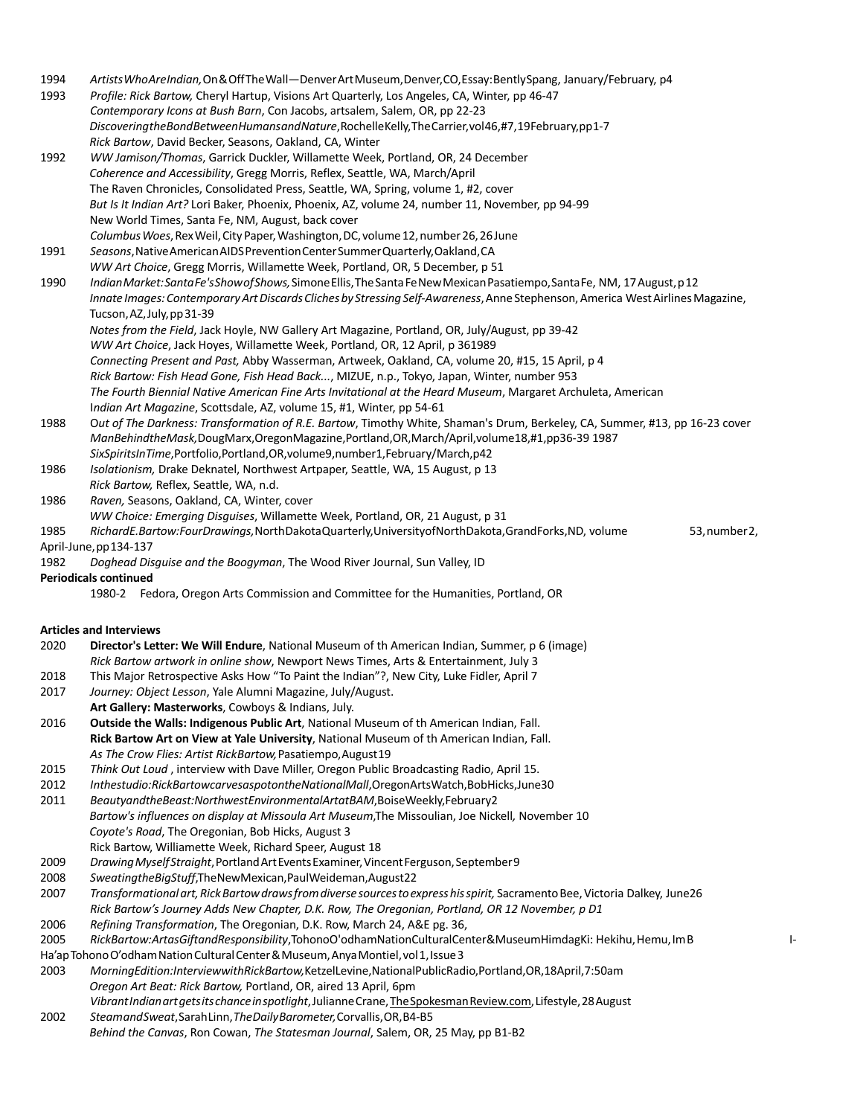| 1994<br>1993                                                                                                                                                                                                                                                       | Artists Who Are Indian, On & Off The Wall-Denver Art Museum, Denver, CO, Essay: Bently Spang, January/February, p4<br>Profile: Rick Bartow, Cheryl Hartup, Visions Art Quarterly, Los Angeles, CA, Winter, pp 46-47<br>Contemporary Icons at Bush Barn, Con Jacobs, artsalem, Salem, OR, pp 22-23<br>DiscoveringtheBondBetweenHumansandNature, RochelleKelly, TheCarrier, vol46,#7,19February, pp1-7 |  |  |
|--------------------------------------------------------------------------------------------------------------------------------------------------------------------------------------------------------------------------------------------------------------------|------------------------------------------------------------------------------------------------------------------------------------------------------------------------------------------------------------------------------------------------------------------------------------------------------------------------------------------------------------------------------------------------------|--|--|
|                                                                                                                                                                                                                                                                    | Rick Bartow, David Becker, Seasons, Oakland, CA, Winter                                                                                                                                                                                                                                                                                                                                              |  |  |
| 1992                                                                                                                                                                                                                                                               | WW Jamison/Thomas, Garrick Duckler, Willamette Week, Portland, OR, 24 December                                                                                                                                                                                                                                                                                                                       |  |  |
|                                                                                                                                                                                                                                                                    | Coherence and Accessibility, Gregg Morris, Reflex, Seattle, WA, March/April                                                                                                                                                                                                                                                                                                                          |  |  |
|                                                                                                                                                                                                                                                                    | The Raven Chronicles, Consolidated Press, Seattle, WA, Spring, volume 1, #2, cover                                                                                                                                                                                                                                                                                                                   |  |  |
|                                                                                                                                                                                                                                                                    | But Is It Indian Art? Lori Baker, Phoenix, Phoenix, AZ, volume 24, number 11, November, pp 94-99                                                                                                                                                                                                                                                                                                     |  |  |
|                                                                                                                                                                                                                                                                    | New World Times, Santa Fe, NM, August, back cover                                                                                                                                                                                                                                                                                                                                                    |  |  |
|                                                                                                                                                                                                                                                                    | Columbus Woes, Rex Weil, City Paper, Washington, DC, volume 12, number 26, 26 June                                                                                                                                                                                                                                                                                                                   |  |  |
| 1991                                                                                                                                                                                                                                                               | Seasons, Native American AIDS Prevention Center Summer Quarterly, Oakland, CA<br>WW Art Choice, Gregg Morris, Willamette Week, Portland, OR, 5 December, p 51                                                                                                                                                                                                                                        |  |  |
|                                                                                                                                                                                                                                                                    |                                                                                                                                                                                                                                                                                                                                                                                                      |  |  |
| 1990<br>Indian Market: Santa Fe's Show of Shows, Simone Ellis, The Santa Fe New Mexican Pasatiempo, Santa Fe, NM, 17 August, p12<br>Innate Images: Contemporary Art Discards Cliches by Stressing Self-Awareness, Anne Stephenson, America West Airlines Magazine, |                                                                                                                                                                                                                                                                                                                                                                                                      |  |  |
|                                                                                                                                                                                                                                                                    | Tucson, AZ, July, pp 31-39                                                                                                                                                                                                                                                                                                                                                                           |  |  |
|                                                                                                                                                                                                                                                                    | Notes from the Field, Jack Hoyle, NW Gallery Art Magazine, Portland, OR, July/August, pp 39-42                                                                                                                                                                                                                                                                                                       |  |  |
|                                                                                                                                                                                                                                                                    | WW Art Choice, Jack Hoyes, Willamette Week, Portland, OR, 12 April, p 361989                                                                                                                                                                                                                                                                                                                         |  |  |
|                                                                                                                                                                                                                                                                    | Connecting Present and Past, Abby Wasserman, Artweek, Oakland, CA, volume 20, #15, 15 April, p 4                                                                                                                                                                                                                                                                                                     |  |  |
|                                                                                                                                                                                                                                                                    | Rick Bartow: Fish Head Gone, Fish Head Back, MIZUE, n.p., Tokyo, Japan, Winter, number 953                                                                                                                                                                                                                                                                                                           |  |  |
|                                                                                                                                                                                                                                                                    | The Fourth Biennial Native American Fine Arts Invitational at the Heard Museum, Margaret Archuleta, American                                                                                                                                                                                                                                                                                         |  |  |
|                                                                                                                                                                                                                                                                    | Indian Art Magazine, Scottsdale, AZ, volume 15, #1, Winter, pp 54-61                                                                                                                                                                                                                                                                                                                                 |  |  |
| 1988                                                                                                                                                                                                                                                               | Out of The Darkness: Transformation of R.E. Bartow, Timothy White, Shaman's Drum, Berkeley, CA, Summer, #13, pp 16-23 cover<br>ManBehindtheMask, DougMarx, OregonMagazine, Portland, OR, March/April, volume18,#1, pp36-39 1987                                                                                                                                                                      |  |  |
| 1986                                                                                                                                                                                                                                                               | SixSpiritsInTime,Portfolio,Portland,OR,volume9,number1,February/March,p42<br>Isolationism, Drake Deknatel, Northwest Artpaper, Seattle, WA, 15 August, p 13                                                                                                                                                                                                                                          |  |  |
|                                                                                                                                                                                                                                                                    | Rick Bartow, Reflex, Seattle, WA, n.d.                                                                                                                                                                                                                                                                                                                                                               |  |  |
| 1986                                                                                                                                                                                                                                                               | Raven, Seasons, Oakland, CA, Winter, cover                                                                                                                                                                                                                                                                                                                                                           |  |  |
|                                                                                                                                                                                                                                                                    | WW Choice: Emerging Disguises, Willamette Week, Portland, OR, 21 August, p 31                                                                                                                                                                                                                                                                                                                        |  |  |
| 1985                                                                                                                                                                                                                                                               | RichardE.Bartow:FourDrawings, NorthDakotaQuarterly, University of NorthDakota, GrandForks, ND, volume<br>53, number 2,                                                                                                                                                                                                                                                                               |  |  |
|                                                                                                                                                                                                                                                                    | April-June, pp 134-137                                                                                                                                                                                                                                                                                                                                                                               |  |  |
| 1982                                                                                                                                                                                                                                                               | Doghead Disguise and the Boogyman, The Wood River Journal, Sun Valley, ID                                                                                                                                                                                                                                                                                                                            |  |  |
|                                                                                                                                                                                                                                                                    | <b>Periodicals continued</b><br>1980-2 Fedora, Oregon Arts Commission and Committee for the Humanities, Portland, OR                                                                                                                                                                                                                                                                                 |  |  |
|                                                                                                                                                                                                                                                                    | <b>Articles and Interviews</b>                                                                                                                                                                                                                                                                                                                                                                       |  |  |
| 2020                                                                                                                                                                                                                                                               | Director's Letter: We Will Endure, National Museum of th American Indian, Summer, p 6 (image)                                                                                                                                                                                                                                                                                                        |  |  |
|                                                                                                                                                                                                                                                                    | Rick Bartow artwork in online show, Newport News Times, Arts & Entertainment, July 3                                                                                                                                                                                                                                                                                                                 |  |  |
| 2018                                                                                                                                                                                                                                                               | This Major Retrospective Asks How "To Paint the Indian"?, New City, Luke Fidler, April 7                                                                                                                                                                                                                                                                                                             |  |  |
| 2017                                                                                                                                                                                                                                                               | Journey: Object Lesson, Yale Alumni Magazine, July/August.                                                                                                                                                                                                                                                                                                                                           |  |  |
|                                                                                                                                                                                                                                                                    | Art Gallery: Masterworks, Cowboys & Indians, July.                                                                                                                                                                                                                                                                                                                                                   |  |  |
| 2016                                                                                                                                                                                                                                                               | Outside the Walls: Indigenous Public Art, National Museum of th American Indian, Fall.                                                                                                                                                                                                                                                                                                               |  |  |
|                                                                                                                                                                                                                                                                    | Rick Bartow Art on View at Yale University, National Museum of th American Indian, Fall.<br>As The Crow Flies: Artist RickBartow, Pasatiempo, August 19                                                                                                                                                                                                                                              |  |  |
| 2015                                                                                                                                                                                                                                                               | Think Out Loud, interview with Dave Miller, Oregon Public Broadcasting Radio, April 15.                                                                                                                                                                                                                                                                                                              |  |  |
| 2012                                                                                                                                                                                                                                                               | Inthestudio:RickBartowcarvesaspotontheNationalMall,OregonArtsWatch,BobHicks,June30                                                                                                                                                                                                                                                                                                                   |  |  |
| 2011                                                                                                                                                                                                                                                               | BeautyandtheBeast:NorthwestEnvironmentalArtatBAM,BoiseWeekly,February2                                                                                                                                                                                                                                                                                                                               |  |  |
|                                                                                                                                                                                                                                                                    | Bartow's influences on display at Missoula Art Museum, The Missoulian, Joe Nickell, November 10                                                                                                                                                                                                                                                                                                      |  |  |
|                                                                                                                                                                                                                                                                    | Coyote's Road, The Oregonian, Bob Hicks, August 3                                                                                                                                                                                                                                                                                                                                                    |  |  |
|                                                                                                                                                                                                                                                                    | Rick Bartow, Williamette Week, Richard Speer, August 18                                                                                                                                                                                                                                                                                                                                              |  |  |
| 2009                                                                                                                                                                                                                                                               | Drawing Myself Straight, Portland Art Events Examiner, Vincent Ferguson, September 9                                                                                                                                                                                                                                                                                                                 |  |  |
| 2008                                                                                                                                                                                                                                                               | SweatingtheBigStuff,TheNewMexican,PaulWeideman,August22                                                                                                                                                                                                                                                                                                                                              |  |  |
| 2007                                                                                                                                                                                                                                                               | Transformational art, Rick Bartow draws from diverse sources to express his spirit, Sacramento Bee, Victoria Dalkey, June26<br>Rick Bartow's Journey Adds New Chapter, D.K. Row, The Oregonian, Portland, OR 12 November, p D1                                                                                                                                                                       |  |  |
| 2006                                                                                                                                                                                                                                                               | Refining Transformation, The Oregonian, D.K. Row, March 24, A&E pg. 36,                                                                                                                                                                                                                                                                                                                              |  |  |
| 2005                                                                                                                                                                                                                                                               | RickBartow:ArtasGiftandResponsibility,TohonoO'odhamNationCulturalCenter&MuseumHimdagKi: Hekihu, Hemu, Im B<br>ŀ                                                                                                                                                                                                                                                                                      |  |  |
|                                                                                                                                                                                                                                                                    | Ha'ap Tohono O'odham Nation Cultural Center & Museum, Anya Montiel, vol 1, Issue 3                                                                                                                                                                                                                                                                                                                   |  |  |
| 2003                                                                                                                                                                                                                                                               | MorningEdition:InterviewwithRickBartow,KetzelLevine,NationalPublicRadio,Portland,OR,18April,7:50am                                                                                                                                                                                                                                                                                                   |  |  |
|                                                                                                                                                                                                                                                                    | Oregon Art Beat: Rick Bartow, Portland, OR, aired 13 April, 6pm                                                                                                                                                                                                                                                                                                                                      |  |  |
|                                                                                                                                                                                                                                                                    | Vibrant Indian art gets its chance in spotlight, Julianne Crane, The Spokesman Review.com, Lifestyle, 28 August                                                                                                                                                                                                                                                                                      |  |  |
| 2002                                                                                                                                                                                                                                                               | SteamandSweat, SarahLinn, TheDaily Barometer, Corvallis, OR, B4-B5                                                                                                                                                                                                                                                                                                                                   |  |  |
|                                                                                                                                                                                                                                                                    | Behind the Canvas, Ron Cowan, The Statesman Journal, Salem, OR, 25 May, pp B1-B2                                                                                                                                                                                                                                                                                                                     |  |  |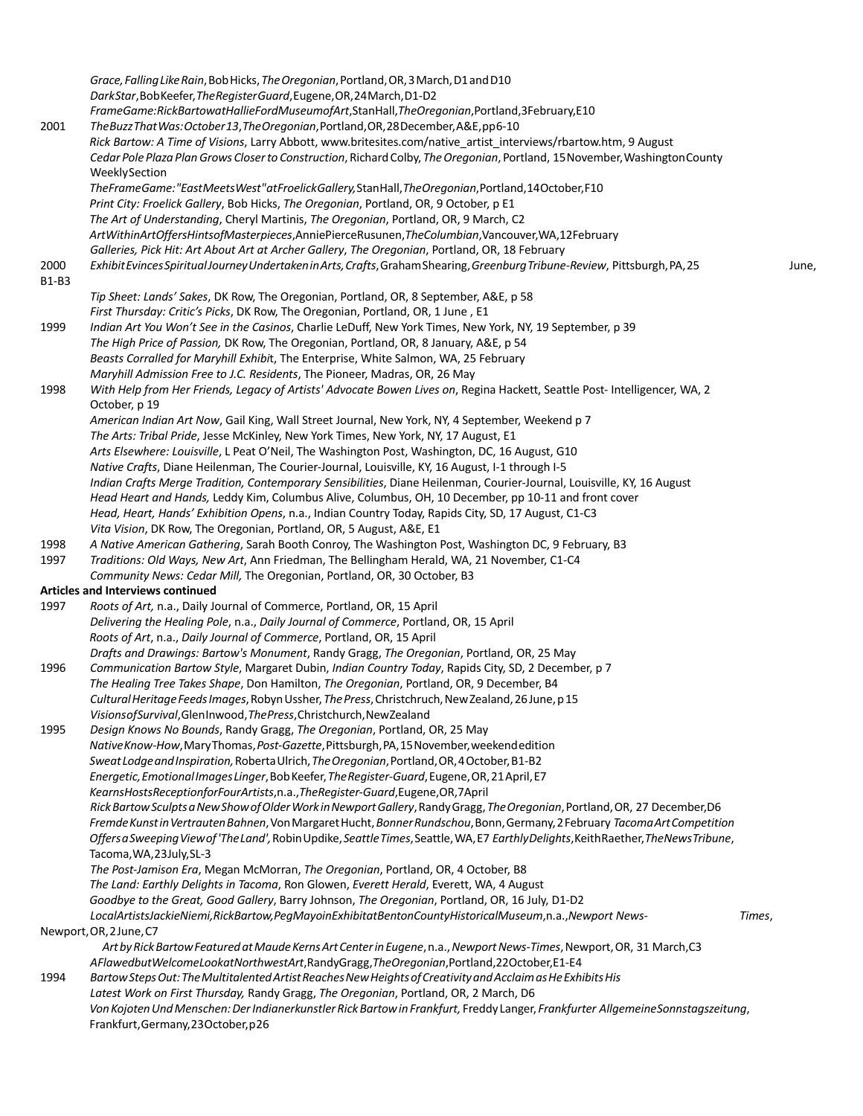*Grace,FallingLikeRain*,BobHicks,*TheOregonian*,Portland,OR,3March,D1andD10 *DarkStar*,BobKeefer,*TheRegisterGuard*,Eugene,OR,24March,D1-D2 *FrameGame:RickBartowatHallieFordMuseumofArt*,StanHall,*TheOregonian*,Portland,3February,E10 2001 *TheBuzzThatWas:October13*,*TheOregonian*,Portland,OR,28December,A&E,pp6-10 *Rick Bartow: A Time of Visions*, Larry Abbott, www.britesites.com/native\_artist\_interviews/rbartow.htm, 9 August *Cedar Pole Plaza PlanGrows Closerto Construction*, RichardColby, *TheOregonian*, Portland, 15November,WashingtonCounty WeeklySection *TheFrameGame:"EastMeetsWest"atFroelickGallery,*StanHall,*TheOregonian*,Portland,14October,F10 *Print City: Froelick Gallery*, Bob Hicks, *The Oregonian*, Portland, OR, 9 October, p E1 *The Art of Understanding*, Cheryl Martinis, *The Oregonian*, Portland, OR, 9 March, C2 *ArtWithinArtOffersHintsofMasterpieces*,AnniePierceRusunen,*TheColumbian*,Vancouver,WA,12February *Galleries, Pick Hit: Art About Art at Archer Gallery*, *The Oregonian*, Portland, OR, 18 February 2000 *ExhibitEvincesSpiritualJourneyUndertakeninArts,Crafts*,GrahamShearing,*GreenburgTribune-Review*, Pittsburgh,PA,25 June, B1-B3 *Tip Sheet: Lands' Sakes*, DK Row, The Oregonian, Portland, OR, 8 September, A&E, p 58 *First Thursday: Critic's Picks*, DK Row, The Oregonian, Portland, OR, 1 June , E1 1999 *Indian Art You Won't See in the Casinos*, Charlie LeDuff, New York Times, New York, NY, 19 September, p 39 *The High Price of Passion,* DK Row, The Oregonian, Portland, OR, 8 January, A&E, p 54 *Beasts Corralled for Maryhill Exhibi*t, The Enterprise, White Salmon, WA, 25 February *Maryhill Admission Free to J.C. Residents*, The Pioneer, Madras, OR, 26 May 1998 *With Help from Her Friends, Legacy of Artists' Advocate Bowen Lives on*, Regina Hackett, Seattle Post- Intelligencer, WA, 2 October, p 19 *American Indian Art Now*, Gail King, Wall Street Journal, New York, NY, 4 September, Weekend p 7 *The Arts: Tribal Pride*, Jesse McKinley, New York Times, New York, NY, 17 August, E1 *Arts Elsewhere: Louisville*, L Peat O'Neil, The Washington Post, Washington, DC, 16 August, G10 *Native Crafts*, Diane Heilenman, The Courier-Journal, Louisville, KY, 16 August, I-1 through I-5 *Indian Crafts Merge Tradition, Contemporary Sensibilities*, Diane Heilenman, Courier-Journal, Louisville, KY, 16 August *Head Heart and Hands,* Leddy Kim, Columbus Alive, Columbus, OH, 10 December, pp 10-11 and front cover *Head, Heart, Hands' Exhibition Opens*, n.a., Indian Country Today, Rapids City, SD, 17 August, C1-C3 *Vita Vision*, DK Row, The Oregonian, Portland, OR, 5 August, A&E, E1 1998 *A Native American Gathering*, Sarah Booth Conroy, The Washington Post, Washington DC, 9 February, B3 1997 *Traditions: Old Ways, New Art*, Ann Friedman, The Bellingham Herald, WA, 21 November, C1-C4 *Community News: Cedar Mill,* The Oregonian, Portland, OR, 30 October, B3 **Articles and Interviews continued**  1997 *Roots of Art,* n.a., Daily Journal of Commerce, Portland, OR, 15 April *Delivering the Healing Pole*, n.a., *Daily Journal of Commerce*, Portland, OR, 15 April *Roots of Art*, n.a., *Daily Journal of Commerce*, Portland, OR, 15 April *Drafts and Drawings: Bartow's Monument*, Randy Gragg, *The Oregonian*, Portland, OR, 25 May 1996 *Communication Bartow Style*, Margaret Dubin, *Indian Country Today*, Rapids City, SD, 2 December, p 7 *The Healing Tree Takes Shape*, Don Hamilton, *The Oregonian*, Portland, OR, 9 December, B4 *CulturalHeritageFeedsImages*,RobynUssher, *ThePress*,Christchruch,NewZealand,26June,p15 *VisionsofSurvival*,GlenInwood,*ThePress*,Christchurch,NewZealand 1995 *Design Knows No Bounds*, Randy Gragg, *The Oregonian*, Portland, OR, 25 May *NativeKnow-How*,MaryThomas,*Post-Gazette*,Pittsburgh,PA,15November,weekendedition *SweatLodgeandInspiration,*RobertaUlrich,*TheOregonian*,Portland,OR,4October,B1-B2 *Energetic,EmotionalImagesLinger*,BobKeefer,*TheRegister-Guard*,Eugene,OR,21April,E7 *KearnsHostsReceptionforFourArtists*,n.a.,*TheRegister-Guard*,Eugene,OR,7April *RickBartowSculptsaNewShowofOlderWorkinNewportGallery*,RandyGragg,*TheOregonian*,Portland,OR, 27 December,D6 *FremdeKunstinVertrautenBahnen*,VonMargaretHucht,*BonnerRundschou*,Bonn,Germany,2February *TacomaArtCompetition OffersaSweepingViewof'TheLand',*RobinUpdike,*SeattleTimes*,Seattle,WA,E7 *EarthlyDelights*,KeithRaether,*TheNewsTribune*, Tacoma,WA,23July,SL-3 *The Post-Jamison Era*, Megan McMorran, *The Oregonian*, Portland, OR, 4 October, B8 *The Land: Earthly Delights in Tacoma*, Ron Glowen, *Everett Herald*, Everett, WA, 4 August *Goodbye to the Great, Good Gallery*, Barry Johnson, *The Oregonian*, Portland, OR, 16 July, D1-D2 *LocalArtistsJackieNiemi,RickBartow,PegMayoinExhibitatBentonCountyHistoricalMuseum*,n.a.,*Newport News- Times*, Newport,OR,2June,C7 *ArtbyRickBartowFeaturedatMaudeKernsArtCenterinEugene*,n.a.,*NewportNews-Times*,Newport,OR, 31 March,C3 *AFlawedbutWelcomeLookatNorthwestArt*,RandyGragg,*TheOregonian*,Portland,22October,E1-E4 1994 *BartowStepsOut:TheMultitalentedArtistReachesNewHeightsofCreativityandAcclaimasHeExhibitsHis Latest Work on First Thursday,* Randy Gragg, *The Oregonian*, Portland, OR, 2 March, D6 *VonKojotenUndMenschen:DerIndianerkunstlerRickBartowinFrankfurt,* Freddy Langer, *Frankfurter AllgemeineSonnstagszeitung*, Frankfurt,Germany,23October,p26